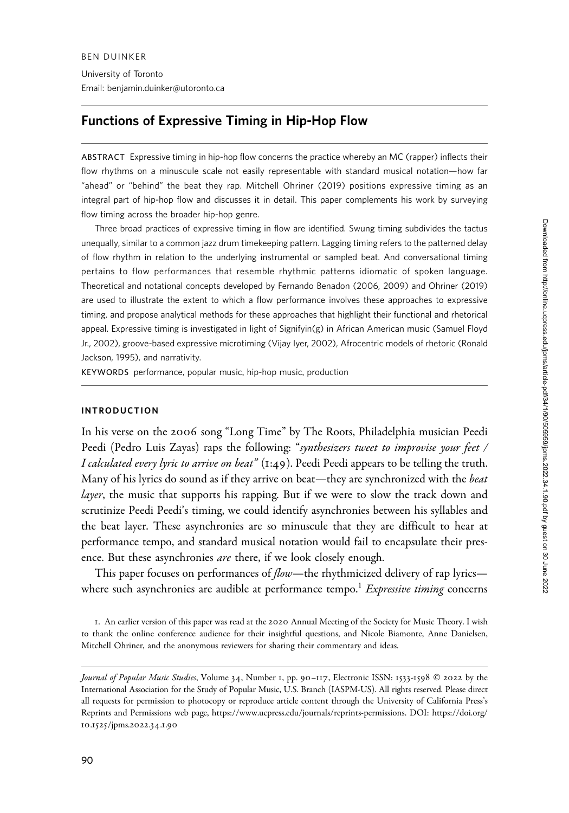Email: benjamin.duinker@utoronto.ca

# Functions of Expressive Timing in Hip-Hop Flow

ABSTRACT Expressive timing in hip-hop flow concerns the practice whereby an MC (rapper) inflects their flow rhythms on a minuscule scale not easily representable with standard musical notation—how far "ahead" or "behind" the beat they rap. Mitchell Ohriner (2019) positions expressive timing as an integral part of hip-hop flow and discusses it in detail. This paper complements his work by surveying flow timing across the broader hip-hop genre.

Three broad practices of expressive timing in flow are identified. Swung timing subdivides the tactus unequally, similar to a common jazz drum timekeeping pattern. Lagging timing refers to the patterned delay of flow rhythm in relation to the underlying instrumental or sampled beat. And conversational timing pertains to flow performances that resemble rhythmic patterns idiomatic of spoken language. Theoretical and notational concepts developed by Fernando Benadon (2006, 2009) and Ohriner (2019) are used to illustrate the extent to which a flow performance involves these approaches to expressive timing, and propose analytical methods for these approaches that highlight their functional and rhetorical appeal. Expressive timing is investigated in light of Signifyin(g) in African American music (Samuel Floyd Jr., 2002), groove-based expressive microtiming (Vijay Iyer, 2002), Afrocentric models of rhetoric (Ronald Jackson, 1995), and narrativity.

KEYWORDS performance, popular music, hip-hop music, production

### INTRODUCTION

In his verse on the 2006 song "Long Time" by The Roots, Philadelphia musician Peedi Peedi (Pedro Luis Zayas) raps the following: "synthesizers tweet to improvise your feet / *I calculated every lyric to arrive on beat*" ( $1:49$ ). Peedi Peedi appears to be telling the truth. Many of his lyrics do sound as if they arrive on beat—they are synchronized with the *beat* layer, the music that supports his rapping. But if we were to slow the track down and scrutinize Peedi Peedi's timing, we could identify asynchronies between his syllables and the beat layer. These asynchronies are so minuscule that they are difficult to hear at performance tempo, and standard musical notation would fail to encapsulate their presence. But these asynchronies are there, if we look closely enough.

This paper focuses on performances of *flow*—the rhythmicized delivery of rap lyrics where such asynchronies are audible at performance tempo.<sup>1</sup> Expressive timing concerns

1. An earlier version of this paper was read at the 2020 Annual Meeting of the Society for Music Theory. I wish to thank the online conference audience for their insightful questions, and Nicole Biamonte, Anne Danielsen, Mitchell Ohriner, and the anonymous reviewers for sharing their commentary and ideas.

Journal of Popular Music Studies, Volume 34, Number 1, pp. 90-117, Electronic ISSN: 1533-1598 © 2022 by the International Association for the Study of Popular Music, U.S. Branch (IASPM-US). All rights reserved. Please direct all requests for permission to photocopy or reproduce article content through the University of California Press's Reprints and Permissions web page, [https://www.ucpress.edu/journals/reprints-permissions.](https://www.ucpress.edu/journals/reprints-permissions) [DOI: https://doi.org/](https://doi.org/10.1525/jpms.2022.34.1.90) 10.1525[/jpms.](https://doi.org/10.1525/jpms.2022.34.1.90)2022.34.1.90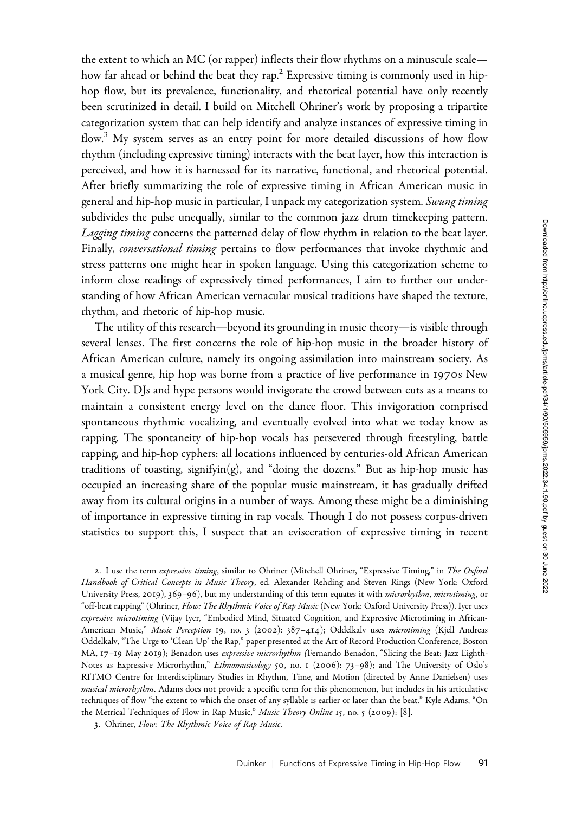the extent to which an MC (or rapper) inflects their flow rhythms on a minuscule scale how far ahead or behind the beat they rap.<sup>2</sup> Expressive timing is commonly used in hiphop flow, but its prevalence, functionality, and rhetorical potential have only recently been scrutinized in detail. I build on Mitchell Ohriner's work by proposing a tripartite categorization system that can help identify and analyze instances of expressive timing in flow.<sup>3</sup> My system serves as an entry point for more detailed discussions of how flow rhythm (including expressive timing) interacts with the beat layer, how this interaction is perceived, and how it is harnessed for its narrative, functional, and rhetorical potential. After briefly summarizing the role of expressive timing in African American music in general and hip-hop music in particular, I unpack my categorization system. Swung timing subdivides the pulse unequally, similar to the common jazz drum timekeeping pattern. Lagging timing concerns the patterned delay of flow rhythm in relation to the beat layer. Finally, *conversational timing* pertains to flow performances that invoke rhythmic and stress patterns one might hear in spoken language. Using this categorization scheme to inform close readings of expressively timed performances, I aim to further our understanding of how African American vernacular musical traditions have shaped the texture, rhythm, and rhetoric of hip-hop music.

The utility of this research—beyond its grounding in music theory—is visible through several lenses. The first concerns the role of hip-hop music in the broader history of African American culture, namely its ongoing assimilation into mainstream society. As a musical genre, hip hop was borne from a practice of live performance in 1970s New York City. DJs and hype persons would invigorate the crowd between cuts as a means to maintain a consistent energy level on the dance floor. This invigoration comprised spontaneous rhythmic vocalizing, and eventually evolved into what we today know as rapping. The spontaneity of hip-hop vocals has persevered through freestyling, battle rapping, and hip-hop cyphers: all locations influenced by centuries-old African American traditions of toasting, signifyin(g), and "doing the dozens." But as hip-hop music has occupied an increasing share of the popular music mainstream, it has gradually drifted away from its cultural origins in a number of ways. Among these might be a diminishing of importance in expressive timing in rap vocals. Though I do not possess corpus-driven statistics to support this, I suspect that an evisceration of expressive timing in recent

2. I use the term expressive timing, similar to Ohriner (Mitchell Ohriner, "Expressive Timing," in The Oxford Handbook of Critical Concepts in Music Theory, ed. Alexander Rehding and Steven Rings (New York: Oxford University Press, 2019), 369-96), but my understanding of this term equates it with microrhythm, microtiming, or "off-beat rapping" (Ohriner, Flow: The Rhythmic Voice of Rap Music (New York: Oxford University Press)). Iyer uses expressive microtiming (Vijay Iyer, "Embodied Mind, Situated Cognition, and Expressive Microtiming in African-American Music," Music Perception 19, no. 3 (2002): 387-414); Oddelkalv uses microtiming (Kjell Andreas Oddelkalv, "The Urge to 'Clean Up' the Rap," paper presented at the Art of Record Production Conference, Boston MA, 17-19 May 2019); Benadon uses expressive microrhythm (Fernando Benadon, "Slicing the Beat: Jazz Eighth-Notes as Expressive Microrhythm," Ethnomusicology 50, no. 1 (2006): 73-98); and The University of Oslo's RITMO Centre for Interdisciplinary Studies in Rhythm, Time, and Motion (directed by Anne Danielsen) uses musical microrhythm. Adams does not provide a specific term for this phenomenon, but includes in his articulative techniques of flow "the extent to which the onset of any syllable is earlier or later than the beat." Kyle Adams, "On the Metrical Techniques of Flow in Rap Music," Music Theory Online 15, no. 5 (2009): [8].

3. Ohriner, Flow: The Rhythmic Voice of Rap Music.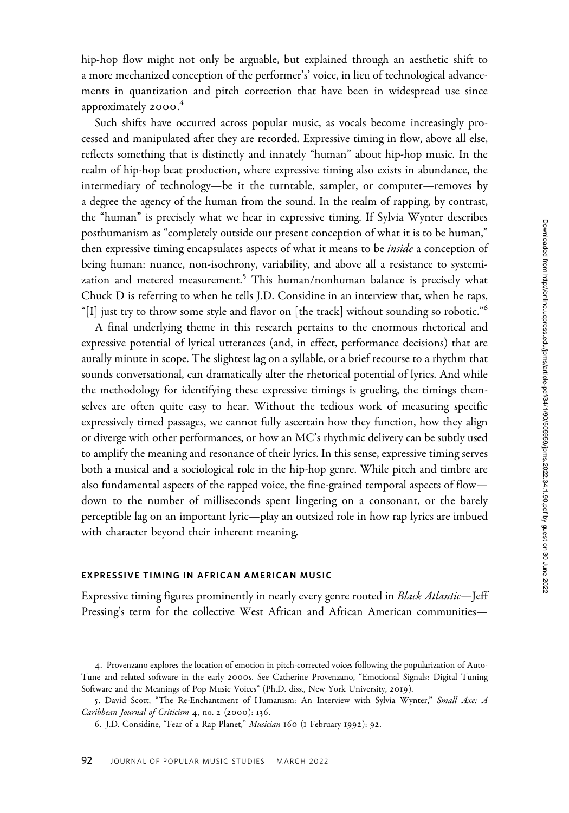hip-hop flow might not only be arguable, but explained through an aesthetic shift to a more mechanized conception of the performer's' voice, in lieu of technological advancements in quantization and pitch correction that have been in widespread use since approximately 2000. 4

Such shifts have occurred across popular music, as vocals become increasingly processed and manipulated after they are recorded. Expressive timing in flow, above all else, reflects something that is distinctly and innately "human" about hip-hop music. In the realm of hip-hop beat production, where expressive timing also exists in abundance, the intermediary of technology—be it the turntable, sampler, or computer—removes by a degree the agency of the human from the sound. In the realm of rapping, by contrast, the "human" is precisely what we hear in expressive timing. If Sylvia Wynter describes posthumanism as "completely outside our present conception of what it is to be human," then expressive timing encapsulates aspects of what it means to be *inside* a conception of being human: nuance, non-isochrony, variability, and above all a resistance to systemization and metered measurement.<sup>5</sup> This human/nonhuman balance is precisely what Chuck D is referring to when he tells J.D. Considine in an interview that, when he raps, "[I] just try to throw some style and flavor on [the track] without sounding so robotic."<sup>6</sup>

A final underlying theme in this research pertains to the enormous rhetorical and expressive potential of lyrical utterances (and, in effect, performance decisions) that are aurally minute in scope. The slightest lag on a syllable, or a brief recourse to a rhythm that sounds conversational, can dramatically alter the rhetorical potential of lyrics. And while the methodology for identifying these expressive timings is grueling, the timings themselves are often quite easy to hear. Without the tedious work of measuring specific expressively timed passages, we cannot fully ascertain how they function, how they align or diverge with other performances, or how an MC's rhythmic delivery can be subtly used to amplify the meaning and resonance of their lyrics. In this sense, expressive timing serves both a musical and a sociological role in the hip-hop genre. While pitch and timbre are also fundamental aspects of the rapped voice, the fine-grained temporal aspects of flow down to the number of milliseconds spent lingering on a consonant, or the barely perceptible lag on an important lyric—play an outsized role in how rap lyrics are imbued with character beyond their inherent meaning.

# EXPRESSIVE TIMING IN AFRICAN AMERICAN MUSIC

Expressive timing figures prominently in nearly every genre rooted in Black Atlantic—Jeff Pressing's term for the collective West African and African American communities—

<sup>4</sup>. Provenzano explores the location of emotion in pitch-corrected voices following the popularization of Auto-Tune and related software in the early 2000s. See Catherine Provenzano, "Emotional Signals: Digital Tuning Software and the Meanings of Pop Music Voices" (Ph.D. diss., New York University, 2019).

<sup>5</sup>. David Scott, "The Re-Enchantment of Humanism: An Interview with Sylvia Wynter," Small Axe: A Caribbean Journal of Criticism 4, no. 2 (2000): 136.

<sup>6</sup>. J.D. Considine, "Fear of a Rap Planet," Musician 160 (1 February 1992): 92.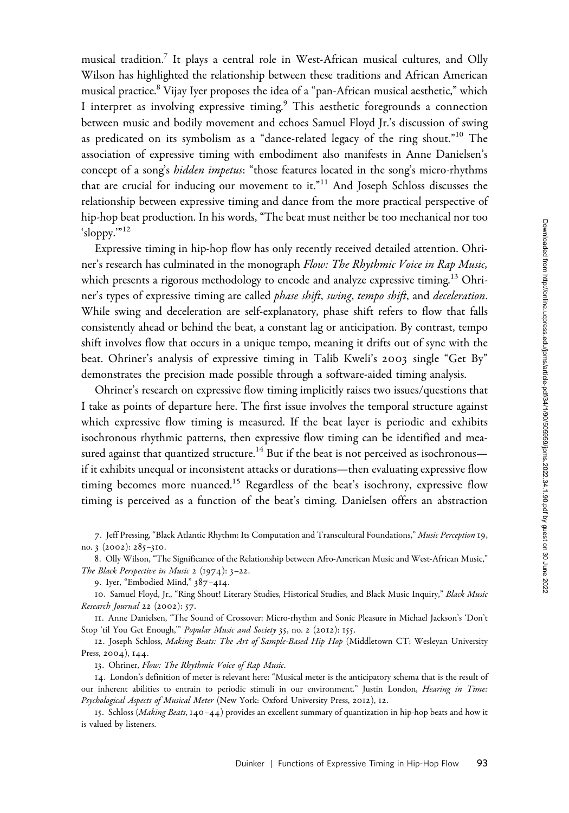musical tradition.7 It plays a central role in West-African musical cultures, and Olly Wilson has highlighted the relationship between these traditions and African American musical practice.<sup>8</sup> Vijay Iyer proposes the idea of a "pan-African musical aesthetic," which I interpret as involving expressive timing.<sup>9</sup> This aesthetic foregrounds a connection between music and bodily movement and echoes Samuel Floyd Jr.'s discussion of swing as predicated on its symbolism as a "dance-related legacy of the ring shout."<sup>10</sup> The association of expressive timing with embodiment also manifests in Anne Danielsen's concept of a song's *hidden impetus*: "those features located in the song's micro-rhythms that are crucial for inducing our movement to it."<sup>11</sup> And Joseph Schloss discusses the relationship between expressive timing and dance from the more practical perspective of hip-hop beat production. In his words, "The beat must neither be too mechanical nor too 'sloppy.'"<sup>12</sup>

Expressive timing in hip-hop flow has only recently received detailed attention. Ohriner's research has culminated in the monograph Flow: The Rhythmic Voice in Rap Music, which presents a rigorous methodology to encode and analyze expressive timing.<sup>13</sup> Ohriner's types of expressive timing are called *phase shift*, swing, tempo shift, and deceleration. While swing and deceleration are self-explanatory, phase shift refers to flow that falls consistently ahead or behind the beat, a constant lag or anticipation. By contrast, tempo shift involves flow that occurs in a unique tempo, meaning it drifts out of sync with the beat. Ohriner's analysis of expressive timing in Talib Kweli's 2003 single "Get By" demonstrates the precision made possible through a software-aided timing analysis.

Ohriner's research on expressive flow timing implicitly raises two issues/questions that I take as points of departure here. The first issue involves the temporal structure against which expressive flow timing is measured. If the beat layer is periodic and exhibits isochronous rhythmic patterns, then expressive flow timing can be identified and measured against that quantized structure.<sup>14</sup> But if the beat is not perceived as isochronous if it exhibits unequal or inconsistent attacks or durations—then evaluating expressive flow timing becomes more nuanced.<sup>15</sup> Regardless of the beat's isochrony, expressive flow timing is perceived as a function of the beat's timing. Danielsen offers an abstraction

7. Jeff Pressing, "Black Atlantic Rhythm: Its Computation and Transcultural Foundations," Music Perception 19, no. 3 (2002): 285–310.

8. Olly Wilson, "The Significance of the Relationship between Afro-American Music and West-African Music," The Black Perspective in Music 2 (1974): 3–22.

9. Iyer, "Embodied Mind," 387–414.

10. Samuel Floyd, Jr., "Ring Shout! Literary Studies, Historical Studies, and Black Music Inquiry," Black Music Research Journal 22 (2002): 57.

11. Anne Danielsen, "The Sound of Crossover: Micro-rhythm and Sonic Pleasure in Michael Jackson's 'Don't Stop 'til You Get Enough," Popular Music and Society 35, no. 2 (2012): 155.

12. Joseph Schloss, Making Beats: The Art of Sample-Based Hip Hop (Middletown CT: Wesleyan University Press, 2004), 144.

13. Ohriner, Flow: The Rhythmic Voice of Rap Music.

14. London's definition of meter is relevant here: "Musical meter is the anticipatory schema that is the result of our inherent abilities to entrain to periodic stimuli in our environment." Justin London, Hearing in Time: Psychological Aspects of Musical Meter (New York: Oxford University Press, 2012), 12.

15. Schloss (Making Beats, 140–44) provides an excellent summary of quantization in hip-hop beats and how it is valued by listeners.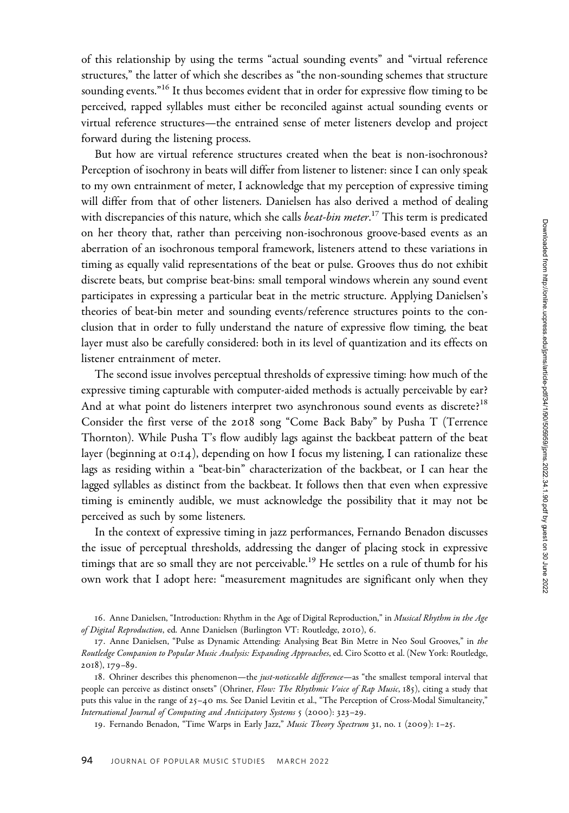of this relationship by using the terms "actual sounding events" and "virtual reference structures," the latter of which she describes as "the non-sounding schemes that structure sounding events."<sup>16</sup> It thus becomes evident that in order for expressive flow timing to be perceived, rapped syllables must either be reconciled against actual sounding events or virtual reference structures—the entrained sense of meter listeners develop and project forward during the listening process.

But how are virtual reference structures created when the beat is non-isochronous? Perception of isochrony in beats will differ from listener to listener: since I can only speak to my own entrainment of meter, I acknowledge that my perception of expressive timing will differ from that of other listeners. Danielsen has also derived a method of dealing with discrepancies of this nature, which she calls *beat-bin meter*.<sup>17</sup> This term is predicated on her theory that, rather than perceiving non-isochronous groove-based events as an aberration of an isochronous temporal framework, listeners attend to these variations in timing as equally valid representations of the beat or pulse. Grooves thus do not exhibit discrete beats, but comprise beat-bins: small temporal windows wherein any sound event participates in expressing a particular beat in the metric structure. Applying Danielsen's theories of beat-bin meter and sounding events/reference structures points to the conclusion that in order to fully understand the nature of expressive flow timing, the beat layer must also be carefully considered: both in its level of quantization and its effects on listener entrainment of meter.

The second issue involves perceptual thresholds of expressive timing: how much of the expressive timing capturable with computer-aided methods is actually perceivable by ear? And at what point do listeners interpret two asynchronous sound events as discrete?<sup>18</sup> Consider the first verse of the 2018 song "Come Back Baby" by Pusha T (Terrence Thornton). While Pusha T's flow audibly lags against the backbeat pattern of the beat layer (beginning at 0:14), depending on how I focus my listening, I can rationalize these lags as residing within a "beat-bin" characterization of the backbeat, or I can hear the lagged syllables as distinct from the backbeat. It follows then that even when expressive timing is eminently audible, we must acknowledge the possibility that it may not be perceived as such by some listeners.

In the context of expressive timing in jazz performances, Fernando Benadon discusses the issue of perceptual thresholds, addressing the danger of placing stock in expressive timings that are so small they are not perceivable.<sup>19</sup> He settles on a rule of thumb for his own work that I adopt here: "measurement magnitudes are significant only when they

<sup>16.</sup> Anne Danielsen, "Introduction: Rhythm in the Age of Digital Reproduction," in Musical Rhythm in the Age of Digital Reproduction, ed. Anne Danielsen (Burlington VT: Routledge, 2010), 6.

<sup>17.</sup> Anne Danielsen, "Pulse as Dynamic Attending: Analysing Beat Bin Metre in Neo Soul Grooves," in the Routledge Companion to Popular Music Analysis: Expanding Approaches, ed. Ciro Scotto et al. (New York: Routledge, 2018), 179–89.

<sup>18.</sup> Ohriner describes this phenomenon—the *just-noticeable difference*—as "the smallest temporal interval that people can perceive as distinct onsets" (Ohriner, Flow: The Rhythmic Voice of Rap Music, 185), citing a study that puts this value in the range of 25–40 ms. See Daniel Levitin et al., "The Perception of Cross-Modal Simultaneity," International Journal of Computing and Anticipatory Systems 5 (2000): 323–29.

<sup>19.</sup> Fernando Benadon, "Time Warps in Early Jazz," Music Theory Spectrum 31, no. 1 (2009): 1-25.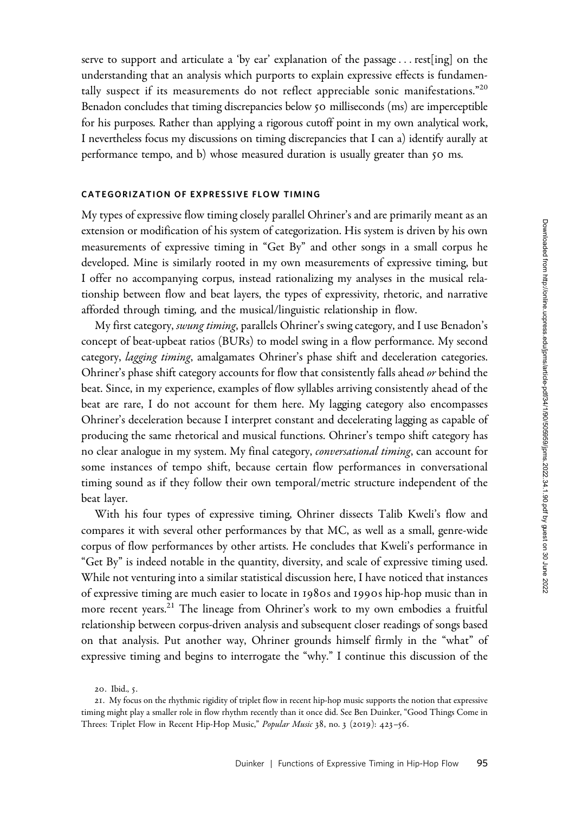serve to support and articulate a 'by ear' explanation of the passage... rest[ing] on the understanding that an analysis which purports to explain expressive effects is fundamentally suspect if its measurements do not reflect appreciable sonic manifestations."<sup>20</sup> Benadon concludes that timing discrepancies below 50 milliseconds (ms) are imperceptible for his purposes. Rather than applying a rigorous cutoff point in my own analytical work, I nevertheless focus my discussions on timing discrepancies that I can a) identify aurally at performance tempo, and b) whose measured duration is usually greater than 50 ms.

# CATEGORIZATION OF EXPRESSIVE FLOW TIMING

My types of expressive flow timing closely parallel Ohriner's and are primarily meant as an extension or modification of his system of categorization. His system is driven by his own measurements of expressive timing in "Get By" and other songs in a small corpus he developed. Mine is similarly rooted in my own measurements of expressive timing, but I offer no accompanying corpus, instead rationalizing my analyses in the musical relationship between flow and beat layers, the types of expressivity, rhetoric, and narrative afforded through timing, and the musical/linguistic relationship in flow.

My first category, *swung timing*, parallels Ohriner's swing category, and I use Benadon's concept of beat-upbeat ratios (BURs) to model swing in a flow performance. My second category, lagging timing, amalgamates Ohriner's phase shift and deceleration categories. Ohriner's phase shift category accounts for flow that consistently falls ahead or behind the beat. Since, in my experience, examples of flow syllables arriving consistently ahead of the beat are rare, I do not account for them here. My lagging category also encompasses Ohriner's deceleration because I interpret constant and decelerating lagging as capable of producing the same rhetorical and musical functions. Ohriner's tempo shift category has no clear analogue in my system. My final category, conversational timing, can account for some instances of tempo shift, because certain flow performances in conversational timing sound as if they follow their own temporal/metric structure independent of the beat layer.

With his four types of expressive timing, Ohriner dissects Talib Kweli's flow and compares it with several other performances by that MC, as well as a small, genre-wide corpus of flow performances by other artists. He concludes that Kweli's performance in "Get By" is indeed notable in the quantity, diversity, and scale of expressive timing used. While not venturing into a similar statistical discussion here, I have noticed that instances of expressive timing are much easier to locate in 1980s and 1990s hip-hop music than in more recent years.<sup>21</sup> The lineage from Ohriner's work to my own embodies a fruitful relationship between corpus-driven analysis and subsequent closer readings of songs based on that analysis. Put another way, Ohriner grounds himself firmly in the "what" of expressive timing and begins to interrogate the "why." I continue this discussion of the

<sup>20</sup>. Ibid., 5.

<sup>21</sup>. My focus on the rhythmic rigidity of triplet flow in recent hip-hop music supports the notion that expressive timing might play a smaller role in flow rhythm recently than it once did. See Ben Duinker, "Good Things Come in Threes: Triplet Flow in Recent Hip-Hop Music," Popular Music 38, no. 3 (2019): 423-56.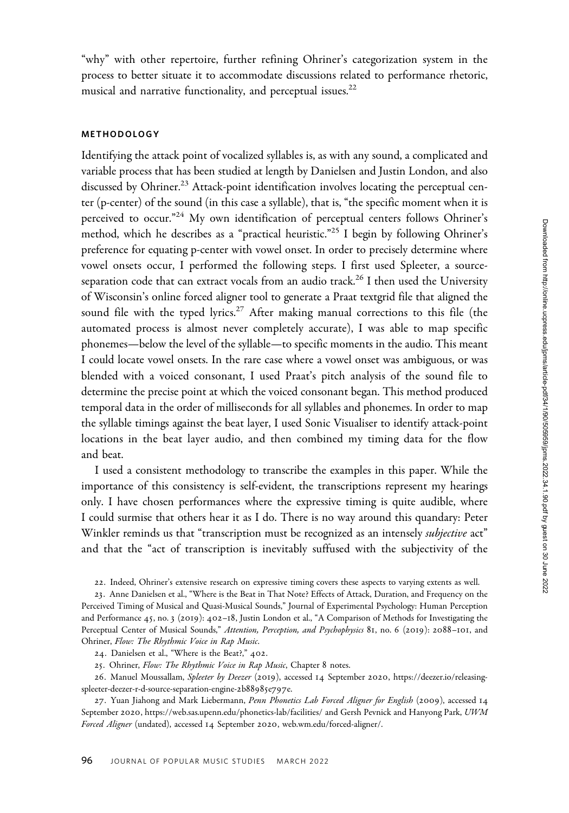"why" with other repertoire, further refining Ohriner's categorization system in the process to better situate it to accommodate discussions related to performance rhetoric, musical and narrative functionality, and perceptual issues.<sup>22</sup>

# METHODOLOGY

Identifying the attack point of vocalized syllables is, as with any sound, a complicated and variable process that has been studied at length by Danielsen and Justin London, and also discussed by Ohriner.<sup>23</sup> Attack-point identification involves locating the perceptual center (p-center) of the sound (in this case a syllable), that is, "the specific moment when it is perceived to occur."<sup>24</sup> My own identification of perceptual centers follows Ohriner's method, which he describes as a "practical heuristic."<sup>25</sup> I begin by following Ohriner's preference for equating p-center with vowel onset. In order to precisely determine where vowel onsets occur, I performed the following steps. I first used Spleeter, a sourceseparation code that can extract vocals from an audio track.<sup>26</sup> I then used the University of Wisconsin's online forced aligner tool to generate a Praat textgrid file that aligned the sound file with the typed lyrics.<sup>27</sup> After making manual corrections to this file (the automated process is almost never completely accurate), I was able to map specific phonemes—below the level of the syllable—to specific moments in the audio. This meant I could locate vowel onsets. In the rare case where a vowel onset was ambiguous, or was blended with a voiced consonant, I used Praat's pitch analysis of the sound file to determine the precise point at which the voiced consonant began. This method produced temporal data in the order of milliseconds for all syllables and phonemes. In order to map the syllable timings against the beat layer, I used Sonic Visualiser to identify attack-point locations in the beat layer audio, and then combined my timing data for the flow and beat.

I used a consistent methodology to transcribe the examples in this paper. While the importance of this consistency is self-evident, the transcriptions represent my hearings only. I have chosen performances where the expressive timing is quite audible, where I could surmise that others hear it as I do. There is no way around this quandary: Peter Winkler reminds us that "transcription must be recognized as an intensely *subjective* act" and that the "act of transcription is inevitably suffused with the subjectivity of the

22. Indeed, Ohriner's extensive research on expressive timing covers these aspects to varying extents as well.

25. Ohriner, Flow: The Rhythmic Voice in Rap Music, Chapter 8 notes.

26. Manuel Moussallam, Spleeter by Deezer (2019), accessed 14 September 2020, [https://deezer.io/releasing](https://deezer.io/releasing-spleeter-deezer-r-d-source-separation-engine-2b88985e797e)[spleeter-deezer-r-d-source-separation-engine-](https://deezer.io/releasing-spleeter-deezer-r-d-source-separation-engine-2b88985e797e)2b88985e797e.

<sup>23</sup>. Anne Danielsen et al., "Where is the Beat in That Note? Effects of Attack, Duration, and Frequency on the Perceived Timing of Musical and Quasi-Musical Sounds," Journal of Experimental Psychology: Human Perception and Performance 45, no. 3 (2019): 402–18, Justin London et al., "A Comparison of Methods for Investigating the Perceptual Center of Musical Sounds," Attention, Perception, and Psychophysics 81, no. 6 (2019): 2088-101, and Ohriner, Flow: The Rhythmic Voice in Rap Music.

<sup>24</sup>. Danielsen et al., "Where is the Beat?," 402.

<sup>27.</sup> Yuan Jiahong and Mark Liebermann, Penn Phonetics Lab Forced Aligner for English (2009), accessed 14 September 2020, [https://web.sas.upenn.edu/phonetics-lab/facilities/ and Gersh Pevnick and Hanyong Park,](https://web.sas.upenn.edu/phonetics-lab/facilities/ and Gersh Pevnick and Hanyong Park) UWM Forced Aligner (undated), accessed 14 September 2020, [web.wm.edu/forced-aligner/.](web.wm.edu/forced-aligner/)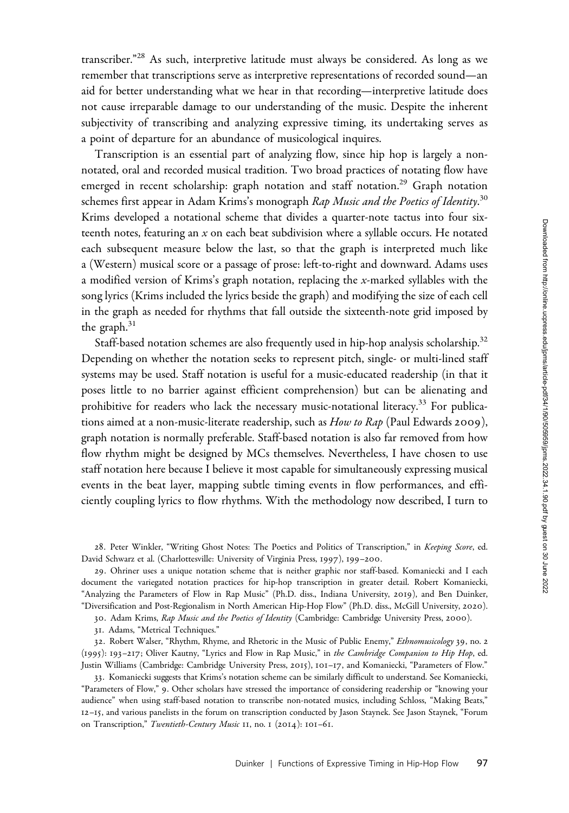transcriber."<sup>28</sup> As such, interpretive latitude must always be considered. As long as we remember that transcriptions serve as interpretive representations of recorded sound—an aid for better understanding what we hear in that recording—interpretive latitude does not cause irreparable damage to our understanding of the music. Despite the inherent subjectivity of transcribing and analyzing expressive timing, its undertaking serves as a point of departure for an abundance of musicological inquires.

Transcription is an essential part of analyzing flow, since hip hop is largely a nonnotated, oral and recorded musical tradition. Two broad practices of notating flow have emerged in recent scholarship: graph notation and staff notation.<sup>29</sup> Graph notation schemes first appear in Adam Krims's monograph *Rap Music and the Poetics of Identity*.<sup>30</sup> Krims developed a notational scheme that divides a quarter-note tactus into four sixteenth notes, featuring an  $x$  on each beat subdivision where a syllable occurs. He notated each subsequent measure below the last, so that the graph is interpreted much like a (Western) musical score or a passage of prose: left-to-right and downward. Adams uses a modified version of Krims's graph notation, replacing the  $x$ -marked syllables with the song lyrics (Krims included the lyrics beside the graph) and modifying the size of each cell in the graph as needed for rhythms that fall outside the sixteenth-note grid imposed by the graph.<sup>31</sup>

Staff-based notation schemes are also frequently used in hip-hop analysis scholarship.<sup>32</sup> Depending on whether the notation seeks to represent pitch, single- or multi-lined staff systems may be used. Staff notation is useful for a music-educated readership (in that it poses little to no barrier against efficient comprehension) but can be alienating and prohibitive for readers who lack the necessary music-notational literacy.<sup>33</sup> For publications aimed at a non-music-literate readership, such as  $How to Rap$  (Paul Edwards 2009), graph notation is normally preferable. Staff-based notation is also far removed from how flow rhythm might be designed by MCs themselves. Nevertheless, I have chosen to use staff notation here because I believe it most capable for simultaneously expressing musical events in the beat layer, mapping subtle timing events in flow performances, and efficiently coupling lyrics to flow rhythms. With the methodology now described, I turn to

28. Peter Winkler, "Writing Ghost Notes: The Poetics and Politics of Transcription," in Keeping Score, ed. David Schwarz et al. (Charlottesville: University of Virginia Press, 1997), 199–200.

29. Ohriner uses a unique notation scheme that is neither graphic nor staff-based. Komaniecki and I each document the variegated notation practices for hip-hop transcription in greater detail. Robert Komaniecki, "Analyzing the Parameters of Flow in Rap Music" (Ph.D. diss., Indiana University, 2019), and Ben Duinker, "Diversification and Post-Regionalism in North American Hip-Hop Flow" (Ph.D. diss., McGill University, 2020).

30. Adam Krims, Rap Music and the Poetics of Identity (Cambridge: Cambridge University Press, 2000).

31. Adams, "Metrical Techniques."

32. Robert Walser, "Rhythm, Rhyme, and Rhetoric in the Music of Public Enemy," Ethnomusicology 39, no. 2 (1995): 193–217; Oliver Kautny, "Lyrics and Flow in Rap Music," in the Cambridge Companion to Hip Hop, ed. Justin Williams (Cambridge: Cambridge University Press, 2015), 101–17, and Komaniecki, "Parameters of Flow."

33. Komaniecki suggests that Krims's notation scheme can be similarly difficult to understand. See Komaniecki, "Parameters of Flow," 9. Other scholars have stressed the importance of considering readership or "knowing your audience" when using staff-based notation to transcribe non-notated musics, including Schloss, "Making Beats," 12–15, and various panelists in the forum on transcription conducted by Jason Staynek. See Jason Staynek, "Forum on Transcription," Twentieth-Century Music 11, no. 1 (2014): 101-61.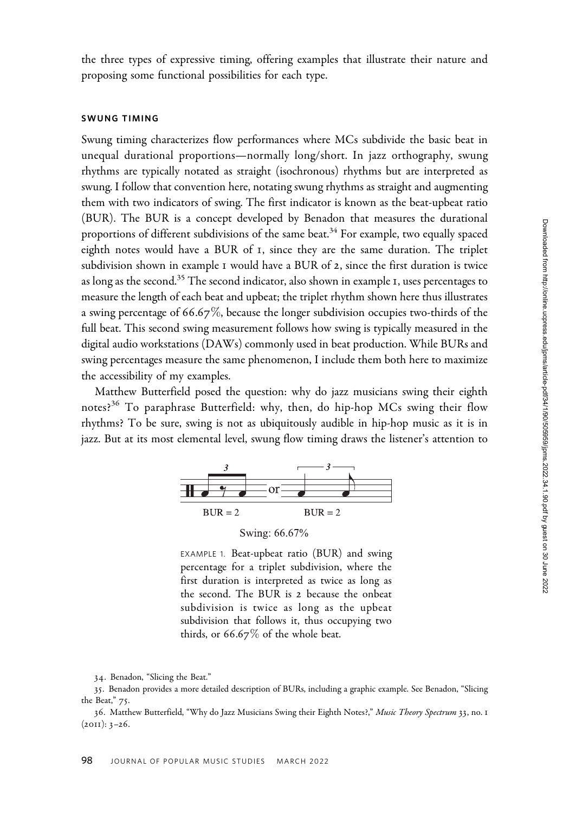the three types of expressive timing, offering examples that illustrate their nature and proposing some functional possibilities for each type.

#### SWUNG TIMING

Swung timing characterizes flow performances where MCs subdivide the basic beat in unequal durational proportions—normally long/short. In jazz orthography, swung rhythms are typically notated as straight (isochronous) rhythms but are interpreted as swung. I follow that convention here, notating swung rhythms as straight and augmenting them with two indicators of swing. The first indicator is known as the beat-upbeat ratio (BUR). The BUR is a concept developed by Benadon that measures the durational proportions of different subdivisions of the same beat.<sup>34</sup> For example, two equally spaced eighth notes would have a BUR of 1, since they are the same duration. The triplet subdivision shown in example 1 would have a BUR of 2, since the first duration is twice as long as the second.<sup>35</sup> The second indicator, also shown in example 1, uses percentages to measure the length of each beat and upbeat; the triplet rhythm shown here thus illustrates a swing percentage of 66.67%, because the longer subdivision occupies two-thirds of the full beat. This second swing measurement follows how swing is typically measured in the digital audio workstations (DAWs) commonly used in beat production. While BURs and swing percentages measure the same phenomenon, I include them both here to maximize the accessibility of my examples.

Matthew Butterfield posed the question: why do jazz musicians swing their eighth notes?<sup>36</sup> To paraphrase Butterfield: why, then, do hip-hop MCs swing their flow rhythms? To be sure, swing is not as ubiquitously audible in hip-hop music as it is in jazz. But at its most elemental level, swung flow timing draws the listener's attention to



Swing: 66.67%

EXAMPLE 1. Beat-upbeat ratio (BUR) and swing percentage for a triplet subdivision, where the first duration is interpreted as twice as long as the second. The BUR is 2 because the onbeat subdivision is twice as long as the upbeat subdivision that follows it, thus occupying two thirds, or  $66.67\%$  of the whole beat.

<sup>34</sup>. Benadon, "Slicing the Beat."

<sup>35</sup>. Benadon provides a more detailed description of BURs, including a graphic example. See Benadon, "Slicing the Beat," 75.

<sup>36.</sup> Matthew Butterfield, "Why do Jazz Musicians Swing their Eighth Notes?," Music Theory Spectrum 33, no. 1  $(2011): 3-26.$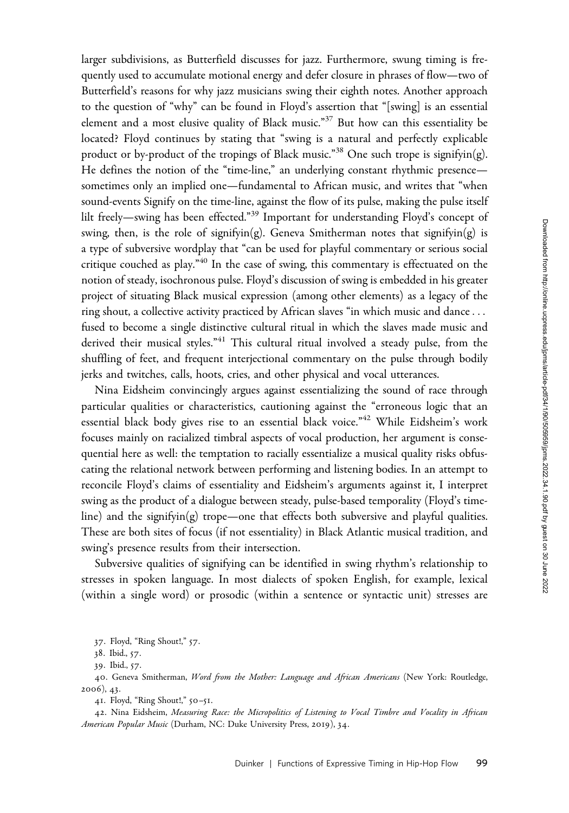larger subdivisions, as Butterfield discusses for jazz. Furthermore, swung timing is frequently used to accumulate motional energy and defer closure in phrases of flow—two of Butterfield's reasons for why jazz musicians swing their eighth notes. Another approach to the question of "why" can be found in Floyd's assertion that "[swing] is an essential element and a most elusive quality of Black music."<sup>37</sup> But how can this essentiality be located? Floyd continues by stating that "swing is a natural and perfectly explicable product or by-product of the tropings of Black music."38 One such trope is signifyin(g). He defines the notion of the "time-line," an underlying constant rhythmic presence sometimes only an implied one—fundamental to African music, and writes that "when sound-events Signify on the time-line, against the flow of its pulse, making the pulse itself lilt freely—swing has been effected."<sup>39</sup> Important for understanding Floyd's concept of swing, then, is the role of signifyin(g). Geneva Smitherman notes that signifyin(g) is a type of subversive wordplay that "can be used for playful commentary or serious social critique couched as play.<sup>"40</sup> In the case of swing, this commentary is effectuated on the notion of steady, isochronous pulse. Floyd's discussion of swing is embedded in his greater project of situating Black musical expression (among other elements) as a legacy of the ring shout, a collective activity practiced by African slaves "in which music and dance... fused to become a single distinctive cultural ritual in which the slaves made music and derived their musical styles."<sup>41</sup> This cultural ritual involved a steady pulse, from the shuffling of feet, and frequent interjectional commentary on the pulse through bodily jerks and twitches, calls, hoots, cries, and other physical and vocal utterances.

Nina Eidsheim convincingly argues against essentializing the sound of race through particular qualities or characteristics, cautioning against the "erroneous logic that an essential black body gives rise to an essential black voice."<sup>42</sup> While Eidsheim's work focuses mainly on racialized timbral aspects of vocal production, her argument is consequential here as well: the temptation to racially essentialize a musical quality risks obfuscating the relational network between performing and listening bodies. In an attempt to reconcile Floyd's claims of essentiality and Eidsheim's arguments against it, I interpret swing as the product of a dialogue between steady, pulse-based temporality (Floyd's timeline) and the signifyin(g) trope—one that effects both subversive and playful qualities. These are both sites of focus (if not essentiality) in Black Atlantic musical tradition, and swing's presence results from their intersection.

Subversive qualities of signifying can be identified in swing rhythm's relationship to stresses in spoken language. In most dialects of spoken English, for example, lexical (within a single word) or prosodic (within a sentence or syntactic unit) stresses are

37. Floyd, "Ring Shout!," 57.

40. Geneva Smitherman, Word from the Mother: Language and African Americans (New York: Routledge, 2006), 43.

41. Floyd, "Ring Shout!," 50–51.

42. Nina Eidsheim, Measuring Race: the Micropolitics of Listening to Vocal Timbre and Vocality in African American Popular Music (Durham, NC: Duke University Press, 2019), 34.

<sup>38</sup>. Ibid., 57.

<sup>39</sup>. Ibid., 57.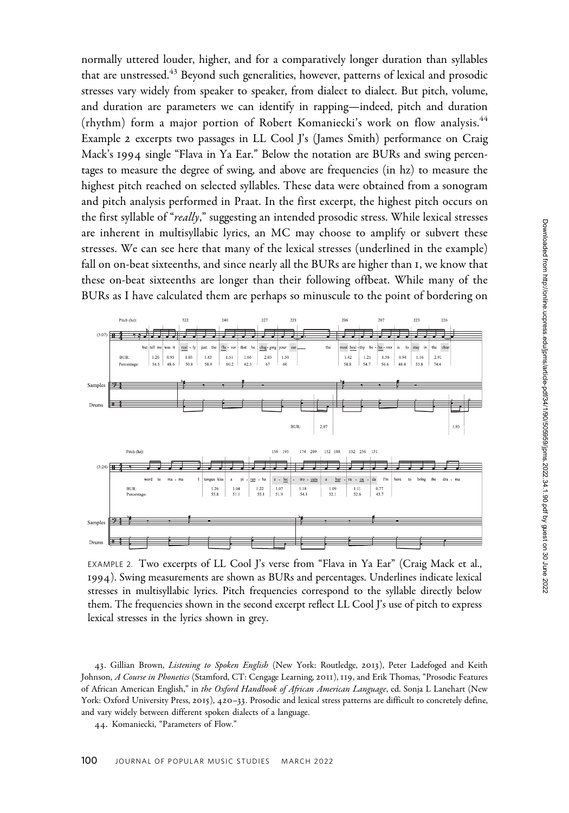normally uttered louder, higher, and for a comparatively longer duration than syllables that are unstressed.<sup>43</sup> Beyond such generalities, however, patterns of lexical and prosodic stresses vary widely from speaker to speaker, from dialect to dialect. But pitch, volume, and duration are parameters we can identify in rapping—indeed, pitch and duration (rhythm) form a major portion of Robert Komaniecki's work on flow analysis.<sup>44</sup> Example 2 excerpts two passages in LL Cool J's (James Smith) performance on Craig Mack's 1994 single "Flava in Ya Ear." Below the notation are BURs and swing percentages to measure the degree of swing, and above are frequencies (in hz) to measure the highest pitch reached on selected syllables. These data were obtained from a sonogram and pitch analysis performed in Praat. In the first excerpt, the highest pitch occurs on the first syllable of "really," suggesting an intended prosodic stress. While lexical stresses are inherent in multisyllabic lyrics, an MC may choose to amplify or subvert these stresses. We can see here that many of the lexical stresses (underlined in the example) fall on on-beat sixteenths, and since nearly all the BURs are higher than 1, we know that these on-beat sixteenths are longer than their following offbeat. While many of the BURs as I have calculated them are perhaps so minuscule to the point of bordering on



EXAMPLE 2. Two excerpts of LL Cool J's verse from "Flava in Ya Ear" (Craig Mack et al., 1994). Swing measurements are shown as BURs and percentages. Underlines indicate lexical stresses in multisyllabic lyrics. Pitch frequencies correspond to the syllable directly below them. The frequencies shown in the second excerpt reflect LL Cool J's use of pitch to express lexical stresses in the lyrics shown in grey.

43. Gillian Brown, Listening to Spoken English (New York: Routledge, 2013), Peter Ladefoged and Keith Johnson, A Course in Phonetics (Stamford, CT: Cengage Learning, 2011), 119, and Erik Thomas, "Prosodic Features of African American English," in the Oxford Handbook of African American Language, ed. Sonja L Lanehart (New York: Oxford University Press, 2015), 420–33. Prosodic and lexical stress patterns are difficult to concretely define, and vary widely between different spoken dialects of a language.

44. Komaniecki, "Parameters of Flow."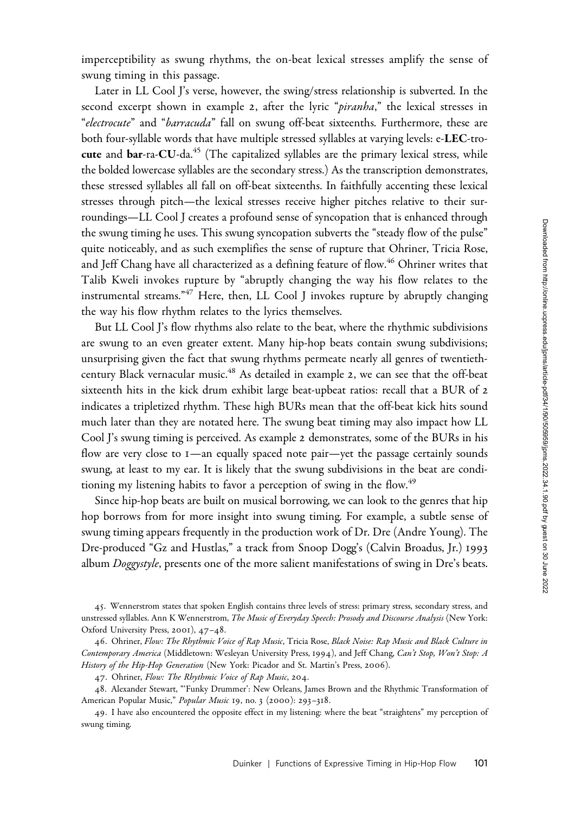imperceptibility as swung rhythms, the on-beat lexical stresses amplify the sense of swung timing in this passage.

Later in LL Cool J's verse, however, the swing/stress relationship is subverted. In the second excerpt shown in example 2, after the lyric "piranha," the lexical stresses in "electrocute" and "barracuda" fall on swung off-beat sixteenths. Furthermore, these are both four-syllable words that have multiple stressed syllables at varying levels: e-LEC-trocute and bar-ra-CU-da.<sup>45</sup> (The capitalized syllables are the primary lexical stress, while the bolded lowercase syllables are the secondary stress.) As the transcription demonstrates, these stressed syllables all fall on off-beat sixteenths. In faithfully accenting these lexical stresses through pitch—the lexical stresses receive higher pitches relative to their surroundings—LL Cool J creates a profound sense of syncopation that is enhanced through the swung timing he uses. This swung syncopation subverts the "steady flow of the pulse" quite noticeably, and as such exemplifies the sense of rupture that Ohriner, Tricia Rose, and Jeff Chang have all characterized as a defining feature of flow.<sup>46</sup> Ohriner writes that Talib Kweli invokes rupture by "abruptly changing the way his flow relates to the instrumental streams."<sup>47</sup> Here, then, LL Cool J invokes rupture by abruptly changing the way his flow rhythm relates to the lyrics themselves.

But LL Cool J's flow rhythms also relate to the beat, where the rhythmic subdivisions are swung to an even greater extent. Many hip-hop beats contain swung subdivisions; unsurprising given the fact that swung rhythms permeate nearly all genres of twentiethcentury Black vernacular music.<sup>48</sup> As detailed in example 2, we can see that the off-beat sixteenth hits in the kick drum exhibit large beat-upbeat ratios: recall that a BUR of 2 indicates a tripletized rhythm. These high BURs mean that the off-beat kick hits sound much later than they are notated here. The swung beat timing may also impact how LL Cool J's swung timing is perceived. As example 2 demonstrates, some of the BURs in his flow are very close to 1—an equally spaced note pair—yet the passage certainly sounds swung, at least to my ear. It is likely that the swung subdivisions in the beat are conditioning my listening habits to favor a perception of swing in the flow.<sup>49</sup>

Since hip-hop beats are built on musical borrowing, we can look to the genres that hip hop borrows from for more insight into swung timing. For example, a subtle sense of swung timing appears frequently in the production work of Dr. Dre (Andre Young). The Dre-produced "Gz and Hustlas," a track from Snoop Dogg's (Calvin Broadus, Jr.) 1993 album  $Doggystyle$ , presents one of the more salient manifestations of swing in Dre's beats.

<sup>45</sup>. Wennerstrom states that spoken English contains three levels of stress: primary stress, secondary stress, and unstressed syllables. Ann K Wennerstrom, The Music of Everyday Speech: Prosody and Discourse Analysis (New York: Oxford University Press, 2001), 47–48.

<sup>46.</sup> Ohriner, Flow: The Rhythmic Voice of Rap Music, Tricia Rose, Black Noise: Rap Music and Black Culture in Contemporary America (Middletown: Wesleyan University Press, 1994), and Jeff Chang, Can't Stop, Won't Stop: A History of the Hip-Hop Generation (New York: Picador and St. Martin's Press, 2006).

<sup>47.</sup> Ohriner, Flow: The Rhythmic Voice of Rap Music, 204.

<sup>48</sup>. Alexander Stewart, "'Funky Drummer': New Orleans, James Brown and the Rhythmic Transformation of American Popular Music," Popular Music 19, no. 3 (2000): 293-318.

<sup>49</sup>. I have also encountered the opposite effect in my listening: where the beat "straightens" my perception of swung timing.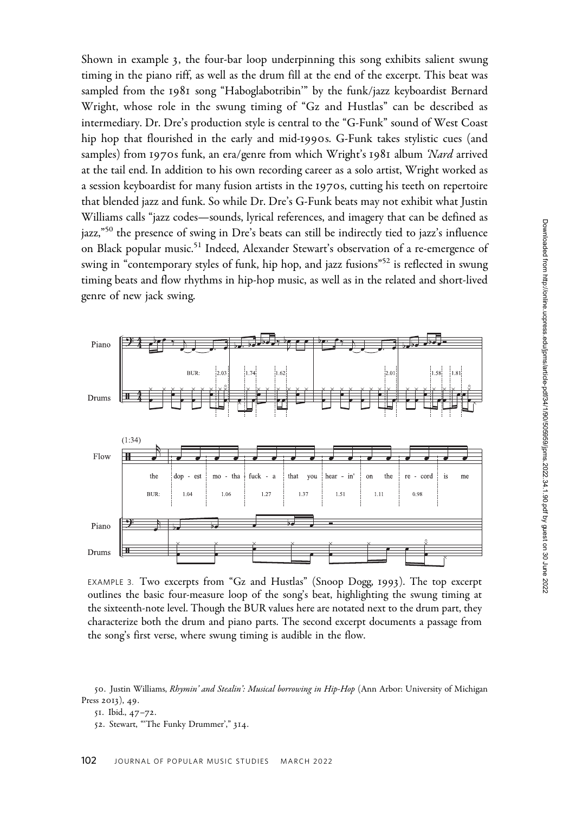Shown in example 3, the four-bar loop underpinning this song exhibits salient swung timing in the piano riff, as well as the drum fill at the end of the excerpt. This beat was sampled from the 1981 song "Haboglabotribin'" by the funk/jazz keyboardist Bernard Wright, whose role in the swung timing of "Gz and Hustlas" can be described as intermediary. Dr. Dre's production style is central to the "G-Funk" sound of West Coast hip hop that flourished in the early and mid-1990s. G-Funk takes stylistic cues (and samples) from 1970s funk, an era/genre from which Wright's 1981 album 'Nard arrived at the tail end. In addition to his own recording career as a solo artist, Wright worked as a session keyboardist for many fusion artists in the 1970s, cutting his teeth on repertoire that blended jazz and funk. So while Dr. Dre's G-Funk beats may not exhibit what Justin Williams calls "jazz codes—sounds, lyrical references, and imagery that can be defined as jazz,"<sup>50</sup> the presence of swing in Dre's beats can still be indirectly tied to jazz's influence on Black popular music.<sup>51</sup> Indeed, Alexander Stewart's observation of a re-emergence of swing in "contemporary styles of funk, hip hop, and jazz fusions"<sup>52</sup> is reflected in swung timing beats and flow rhythms in hip-hop music, as well as in the related and short-lived genre of new jack swing.



EXAMPLE 3. Two excerpts from "Gz and Hustlas" (Snoop Dogg, 1993). The top excerpt outlines the basic four-measure loop of the song's beat, highlighting the swung timing at the sixteenth-note level. Though the BUR values here are notated next to the drum part, they characterize both the drum and piano parts. The second excerpt documents a passage from the song's first verse, where swung timing is audible in the flow.

50. Justin Williams, Rhymin' and Stealin': Musical borrowing in Hip-Hop (Ann Arbor: University of Michigan Press 2013), 49.

<sup>51</sup>. Ibid., 47–72.

<sup>52</sup>. Stewart, "'The Funky Drummer'," 314.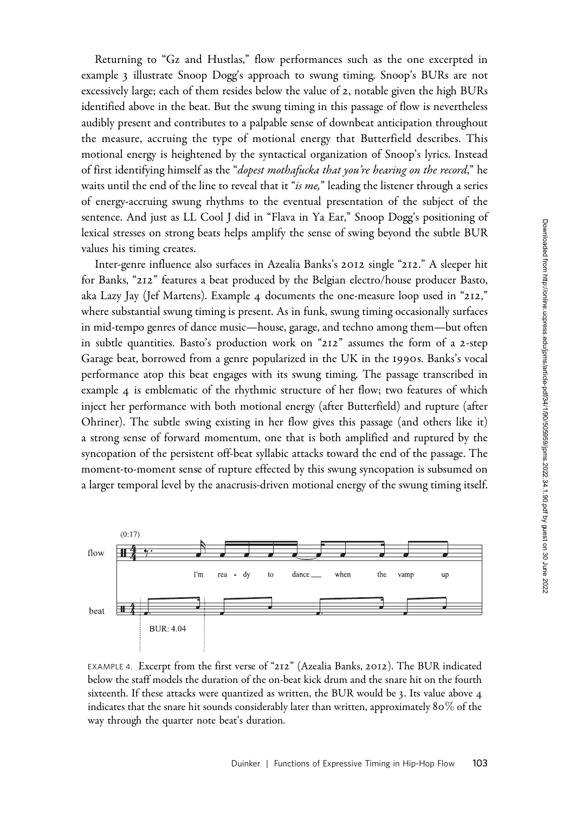Returning to "Gz and Hustlas," flow performances such as the one excerpted in example 3 illustrate Snoop Dogg's approach to swung timing. Snoop's BURs are not excessively large; each of them resides below the value of 2, notable given the high BURs identified above in the beat. But the swung timing in this passage of flow is nevertheless audibly present and contributes to a palpable sense of downbeat anticipation throughout the measure, accruing the type of motional energy that Butterfield describes. This motional energy is heightened by the syntactical organization of Snoop's lyrics. Instead of first identifying himself as the "dopest mothafucka that you're hearing on the record," he waits until the end of the line to reveal that it "is  $me$ ," leading the listener through a series of energy-accruing swung rhythms to the eventual presentation of the subject of the sentence. And just as LL Cool J did in "Flava in Ya Ear," Snoop Dogg's positioning of lexical stresses on strong beats helps amplify the sense of swing beyond the subtle BUR values his timing creates.

Inter-genre influence also surfaces in Azealia Banks's 2012 single "212." A sleeper hit for Banks, "212" features a beat produced by the Belgian electro/house producer Basto, aka Lazy Jay (Jef Martens). Example 4 documents the one-measure loop used in "212," where substantial swung timing is present. As in funk, swung timing occasionally surfaces in mid-tempo genres of dance music—house, garage, and techno among them—but often in subtle quantities. Basto's production work on "212" assumes the form of a 2-step Garage beat, borrowed from a genre popularized in the UK in the 1990s. Banks's vocal performance atop this beat engages with its swung timing. The passage transcribed in example 4 is emblematic of the rhythmic structure of her flow; two features of which inject her performance with both motional energy (after Butterfield) and rupture (after Ohriner). The subtle swing existing in her flow gives this passage (and others like it) a strong sense of forward momentum, one that is both amplified and ruptured by the syncopation of the persistent off-beat syllabic attacks toward the end of the passage. The moment-to-moment sense of rupture effected by this swung syncopation is subsumed on a larger temporal level by the anacrusis-driven motional energy of the swung timing itself.



EXAMPLE 4. Excerpt from the first verse of "212" (Azealia Banks, 2012). The BUR indicated below the staff models the duration of the on-beat kick drum and the snare hit on the fourth sixteenth. If these attacks were quantized as written, the BUR would be 3. Its value above 4 indicates that the snare hit sounds considerably later than written, approximately 80% of the way through the quarter note beat's duration.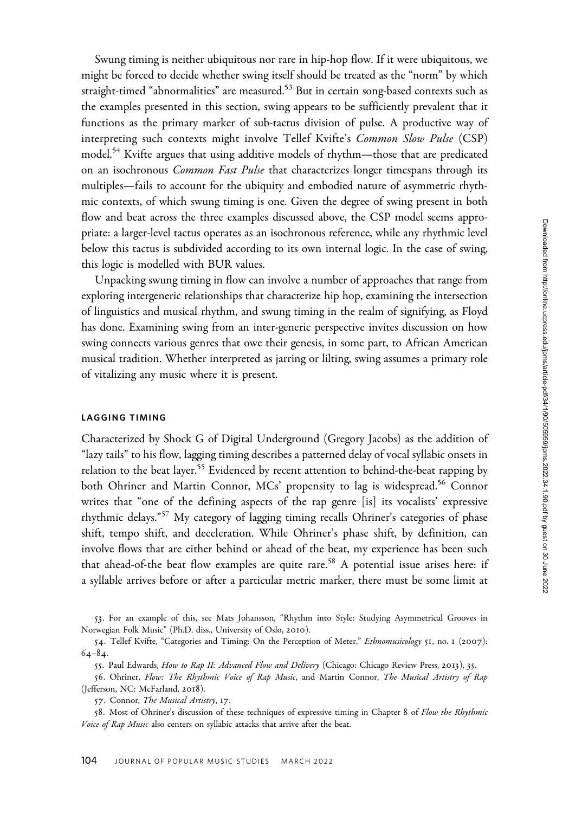Swung timing is neither ubiquitous nor rare in hip-hop flow. If it were ubiquitous, we might be forced to decide whether swing itself should be treated as the "norm" by which straight-timed "abnormalities" are measured.<sup>53</sup> But in certain song-based contexts such as the examples presented in this section, swing appears to be sufficiently prevalent that it functions as the primary marker of sub-tactus division of pulse. A productive way of interpreting such contexts might involve Tellef Kvifte's Common Slow Pulse (CSP) model.<sup>54</sup> Kvifte argues that using additive models of rhythm—those that are predicated on an isochronous Common Fast Pulse that characterizes longer timespans through its multiples—fails to account for the ubiquity and embodied nature of asymmetric rhythmic contexts, of which swung timing is one. Given the degree of swing present in both flow and beat across the three examples discussed above, the CSP model seems appropriate: a larger-level tactus operates as an isochronous reference, while any rhythmic level below this tactus is subdivided according to its own internal logic. In the case of swing, this logic is modelled with BUR values.

Unpacking swung timing in flow can involve a number of approaches that range from exploring intergeneric relationships that characterize hip hop, examining the intersection of linguistics and musical rhythm, and swung timing in the realm of signifying, as Floyd has done. Examining swing from an inter-generic perspective invites discussion on how swing connects various genres that owe their genesis, in some part, to African American musical tradition. Whether interpreted as jarring or lilting, swing assumes a primary role of vitalizing any music where it is present.

### LAGGING TIMING

Characterized by Shock G of Digital Underground (Gregory Jacobs) as the addition of "lazy tails" to his flow, lagging timing describes a patterned delay of vocal syllabic onsets in relation to the beat layer.<sup>55</sup> Evidenced by recent attention to behind-the-beat rapping by both Ohriner and Martin Connor, MCs' propensity to lag is widespread.<sup>56</sup> Connor writes that "one of the defining aspects of the rap genre [is] its vocalists' expressive rhythmic delays."<sup>57</sup> My category of lagging timing recalls Ohriner's categories of phase shift, tempo shift, and deceleration. While Ohriner's phase shift, by definition, can involve flows that are either behind or ahead of the beat, my experience has been such that ahead-of-the beat flow examples are quite rare.<sup>58</sup> A potential issue arises here: if a syllable arrives before or after a particular metric marker, there must be some limit at

53. For an example of this, see Mats Johansson, "Rhythm into Style: Studying Asymmetrical Grooves in Norwegian Folk Music" (Ph.D. diss., University of Oslo, 2010).

<sup>54.</sup> Tellef Kvifte, "Categories and Timing: On the Perception of Meter," Ethnomusicology 51, no. 1 (2007): 64–84.

<sup>55.</sup> Paul Edwards, How to Rap II: Advanced Flow and Delivery (Chicago: Chicago Review Press, 2013), 35.

<sup>56</sup>. Ohriner, Flow: The Rhythmic Voice of Rap Music, and Martin Connor, The Musical Artistry of Rap (Jefferson, NC: McFarland, 2018).

<sup>57</sup>. Connor, The Musical Artistry, 17.

<sup>58.</sup> Most of Ohriner's discussion of these techniques of expressive timing in Chapter 8 of Flow the Rhythmic Voice of Rap Music also centers on syllabic attacks that arrive after the beat.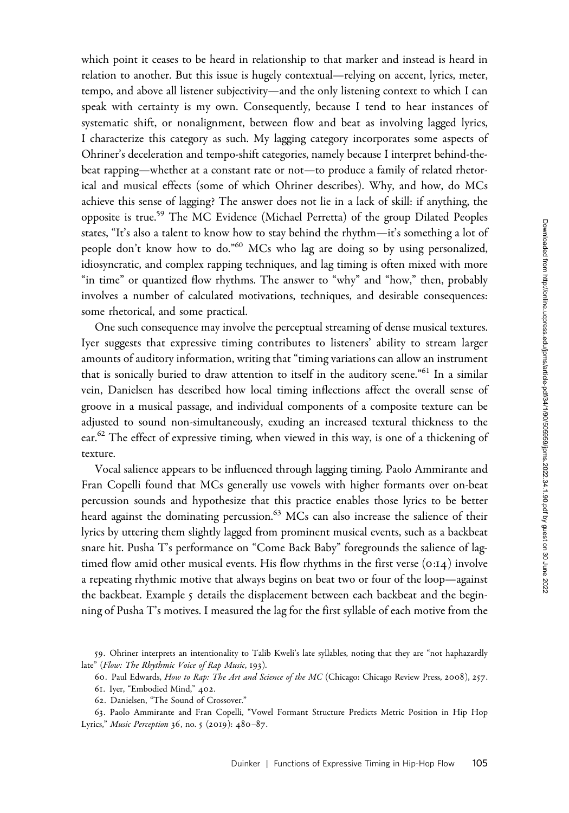which point it ceases to be heard in relationship to that marker and instead is heard in relation to another. But this issue is hugely contextual—relying on accent, lyrics, meter, tempo, and above all listener subjectivity—and the only listening context to which I can speak with certainty is my own. Consequently, because I tend to hear instances of systematic shift, or nonalignment, between flow and beat as involving lagged lyrics, I characterize this category as such. My lagging category incorporates some aspects of Ohriner's deceleration and tempo-shift categories, namely because I interpret behind-thebeat rapping—whether at a constant rate or not—to produce a family of related rhetorical and musical effects (some of which Ohriner describes). Why, and how, do MCs achieve this sense of lagging? The answer does not lie in a lack of skill: if anything, the opposite is true.59 The MC Evidence (Michael Perretta) of the group Dilated Peoples states, "It's also a talent to know how to stay behind the rhythm—it's something a lot of people don't know how to do."<sup>60</sup> MCs who lag are doing so by using personalized, idiosyncratic, and complex rapping techniques, and lag timing is often mixed with more "in time" or quantized flow rhythms. The answer to "why" and "how," then, probably involves a number of calculated motivations, techniques, and desirable consequences: some rhetorical, and some practical.

One such consequence may involve the perceptual streaming of dense musical textures. Iyer suggests that expressive timing contributes to listeners' ability to stream larger amounts of auditory information, writing that "timing variations can allow an instrument that is sonically buried to draw attention to itself in the auditory scene."<sup>61</sup> In a similar vein, Danielsen has described how local timing inflections affect the overall sense of groove in a musical passage, and individual components of a composite texture can be adjusted to sound non-simultaneously, exuding an increased textural thickness to the ear.<sup>62</sup> The effect of expressive timing, when viewed in this way, is one of a thickening of texture.

Vocal salience appears to be influenced through lagging timing. Paolo Ammirante and Fran Copelli found that MCs generally use vowels with higher formants over on-beat percussion sounds and hypothesize that this practice enables those lyrics to be better heard against the dominating percussion.<sup>63</sup> MCs can also increase the salience of their lyrics by uttering them slightly lagged from prominent musical events, such as a backbeat snare hit. Pusha T's performance on "Come Back Baby" foregrounds the salience of lagtimed flow amid other musical events. His flow rhythms in the first verse (0:14) involve a repeating rhythmic motive that always begins on beat two or four of the loop—against the backbeat. Example 5 details the displacement between each backbeat and the beginning of Pusha T's motives. I measured the lag for the first syllable of each motive from the

<sup>59</sup>. Ohriner interprets an intentionality to Talib Kweli's late syllables, noting that they are "not haphazardly late" (Flow: The Rhythmic Voice of Rap Music, 193).

<sup>60</sup>. Paul Edwards, How to Rap: The Art and Science of the MC (Chicago: Chicago Review Press, 2008), 257.

<sup>61</sup>. Iyer, "Embodied Mind," 402.

<sup>62</sup>. Danielsen, "The Sound of Crossover."

<sup>63</sup>. Paolo Ammirante and Fran Copelli, "Vowel Formant Structure Predicts Metric Position in Hip Hop Lyrics," Music Perception 36, no. 5 (2019): 480–87.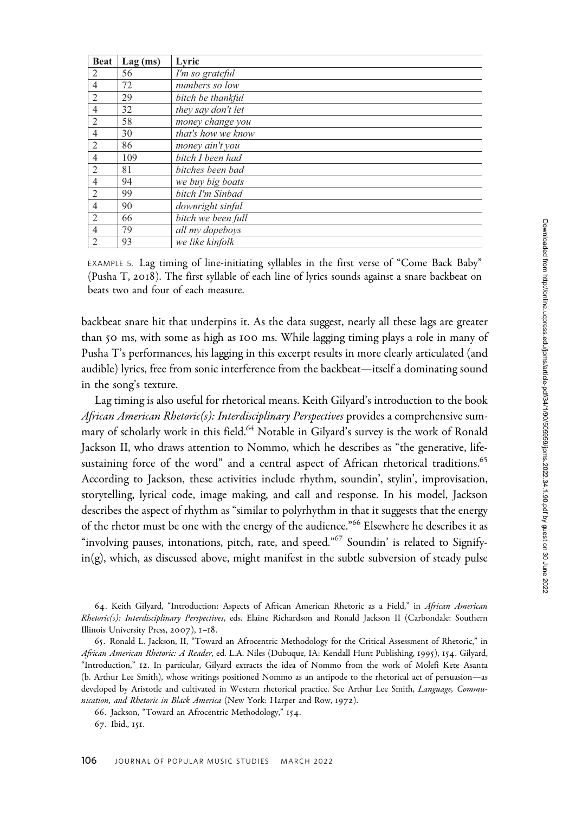| <b>Beat</b>    | $Lag$ (ms) | Lyric              |
|----------------|------------|--------------------|
| $\overline{2}$ | 56         | I'm so grateful    |
| 4              | 72         | numbers so low     |
| $\overline{2}$ | 29         | bitch be thankful  |
| $\overline{4}$ | 32         | they say don't let |
| 2              | 58         | money change you   |
| $\overline{4}$ | 30         | that's how we know |
| $\overline{2}$ | 86         | money ain't you    |
| $\overline{4}$ | 109        | hitch I heen had   |
| 2              | 81         | bitches been bad   |
| $\overline{4}$ | 94         | we buy big boats   |
| $\overline{2}$ | 99         | bitch I'm Sinbad   |
| $\overline{4}$ | 90         | downright sinful   |
| $\overline{2}$ | 66         | bitch we been full |
| $\overline{4}$ | 79         | all my dopeboys    |
| $\overline{2}$ | 93         | we like kinfolk    |

EXAMPLE 5. Lag timing of line-initiating syllables in the first verse of "Come Back Baby" (Pusha T, 2018). The first syllable of each line of lyrics sounds against a snare backbeat on beats two and four of each measure.

backbeat snare hit that underpins it. As the data suggest, nearly all these lags are greater than 50 ms, with some as high as 100 ms. While lagging timing plays a role in many of Pusha T's performances, his lagging in this excerpt results in more clearly articulated (and audible) lyrics, free from sonic interference from the backbeat—itself a dominating sound in the song's texture.

Lag timing is also useful for rhetorical means. Keith Gilyard's introduction to the book African American Rhetoric(s): Interdisciplinary Perspectives provides a comprehensive summary of scholarly work in this field.<sup>64</sup> Notable in Gilyard's survey is the work of Ronald Jackson II, who draws attention to Nommo, which he describes as "the generative, lifesustaining force of the word" and a central aspect of African rhetorical traditions.<sup>65</sup> According to Jackson, these activities include rhythm, soundin', stylin', improvisation, storytelling, lyrical code, image making, and call and response. In his model, Jackson describes the aspect of rhythm as "similar to polyrhythm in that it suggests that the energy of the rhetor must be one with the energy of the audience."<sup>66</sup> Elsewhere he describes it as "involving pauses, intonations, pitch, rate, and speed."<sup>67</sup> Soundin' is related to Signify- $\text{in(g)}$ , which, as discussed above, might manifest in the subtle subversion of steady pulse

64. Keith Gilyard, "Introduction: Aspects of African American Rhetoric as a Field," in African American Rhetoric(s): Interdisciplinary Perspectives, eds. Elaine Richardson and Ronald Jackson II (Carbondale: Southern Illinois University Press, 2007), 1–18.

66. Jackson, "Toward an Afrocentric Methodology," 154. 67. Ibid., 151.

<sup>65</sup>. Ronald L. Jackson, II, "Toward an Afrocentric Methodology for the Critical Assessment of Rhetoric," in African American Rhetoric: A Reader, ed. L.A. Niles (Dubuque, IA: Kendall Hunt Publishing, 1995), 154. Gilyard, "Introduction," 12. In particular, Gilyard extracts the idea of Nommo from the work of Molefi Kete Asanta (b. Arthur Lee Smith), whose writings positioned Nommo as an antipode to the rhetorical act of persuasion—as developed by Aristotle and cultivated in Western rhetorical practice. See Arthur Lee Smith, Language, Communication, and Rhetoric in Black America (New York: Harper and Row, 1972).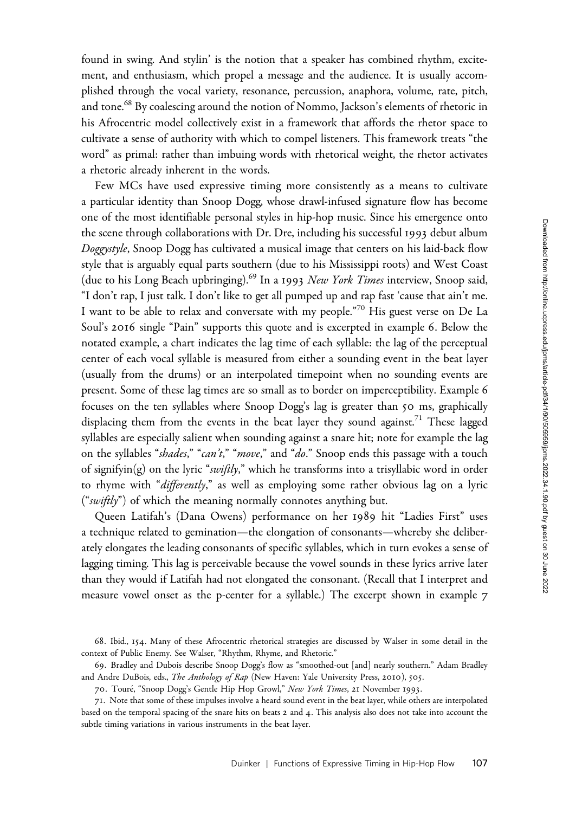found in swing. And stylin' is the notion that a speaker has combined rhythm, excitement, and enthusiasm, which propel a message and the audience. It is usually accomplished through the vocal variety, resonance, percussion, anaphora, volume, rate, pitch, and tone.<sup>68</sup> By coalescing around the notion of Nommo, Jackson's elements of rhetoric in his Afrocentric model collectively exist in a framework that affords the rhetor space to cultivate a sense of authority with which to compel listeners. This framework treats "the word" as primal: rather than imbuing words with rhetorical weight, the rhetor activates a rhetoric already inherent in the words.

Few MCs have used expressive timing more consistently as a means to cultivate a particular identity than Snoop Dogg, whose drawl-infused signature flow has become one of the most identifiable personal styles in hip-hop music. Since his emergence onto the scene through collaborations with Dr. Dre, including his successful 1993 debut album Doggystyle, Snoop Dogg has cultivated a musical image that centers on his laid-back flow style that is arguably equal parts southern (due to his Mississippi roots) and West Coast (due to his Long Beach upbringing).<sup>69</sup> In a 1993 New York Times interview, Snoop said, "I don't rap, I just talk. I don't like to get all pumped up and rap fast 'cause that ain't me. I want to be able to relax and conversate with my people."<sup>70</sup> His guest verse on De La Soul's 2016 single "Pain" supports this quote and is excerpted in example 6. Below the notated example, a chart indicates the lag time of each syllable: the lag of the perceptual center of each vocal syllable is measured from either a sounding event in the beat layer (usually from the drums) or an interpolated timepoint when no sounding events are present. Some of these lag times are so small as to border on imperceptibility. Example 6 focuses on the ten syllables where Snoop Dogg's lag is greater than 50 ms, graphically displacing them from the events in the beat layer they sound against.<sup>71</sup> These lagged syllables are especially salient when sounding against a snare hit; note for example the lag on the syllables "shades," "can't," "move," and "do." Snoop ends this passage with a touch of signifyin(g) on the lyric "swiftly," which he transforms into a trisyllabic word in order to rhyme with "differently," as well as employing some rather obvious lag on a lyric ("swiftly") of which the meaning normally connotes anything but.

Queen Latifah's (Dana Owens) performance on her 1989 hit "Ladies First" uses a technique related to gemination—the elongation of consonants—whereby she deliberately elongates the leading consonants of specific syllables, which in turn evokes a sense of lagging timing. This lag is perceivable because the vowel sounds in these lyrics arrive later than they would if Latifah had not elongated the consonant. (Recall that I interpret and measure vowel onset as the p-center for a syllable.) The excerpt shown in example 7

69. Bradley and Dubois describe Snoop Dogg's flow as "smoothed-out [and] nearly southern." Adam Bradley and Andre DuBois, eds., The Anthology of Rap (New Haven: Yale University Press, 2010), 505.

<sup>68</sup>. Ibid., 154. Many of these Afrocentric rhetorical strategies are discussed by Walser in some detail in the context of Public Enemy. See Walser, "Rhythm, Rhyme, and Rhetoric."

<sup>70.</sup> Touré, "Snoop Dogg's Gentle Hip Hop Growl," New York Times, 21 November 1993.

<sup>71</sup>. Note that some of these impulses involve a heard sound event in the beat layer, while others are interpolated based on the temporal spacing of the snare hits on beats 2 and 4. This analysis also does not take into account the subtle timing variations in various instruments in the beat layer.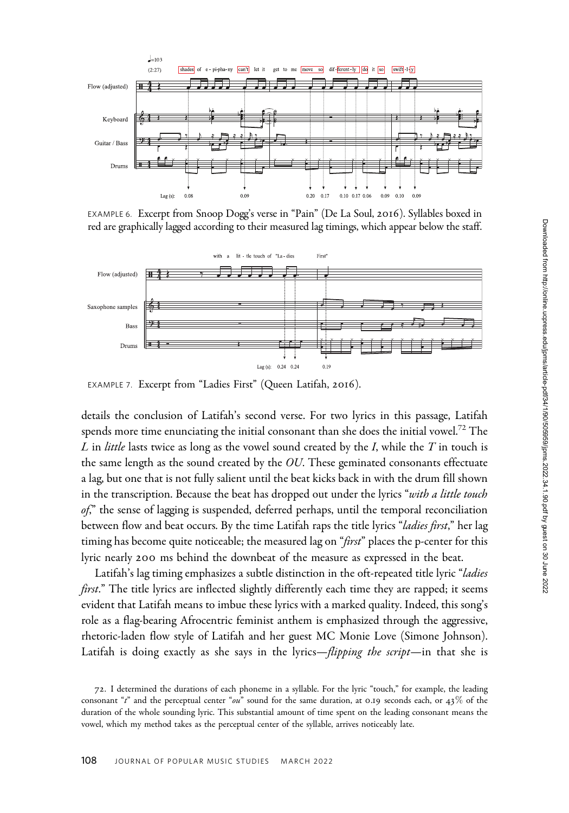

EXAMPLE 6. Excerpt from Snoop Dogg's verse in "Pain" (De La Soul, 2016). Syllables boxed in red are graphically lagged according to their measured lag timings, which appear below the staff.



EXAMPLE 7. Excerpt from "Ladies First" (Queen Latifah, 2016).

details the conclusion of Latifah's second verse. For two lyrics in this passage, Latifah spends more time enunciating the initial consonant than she does the initial vowel.<sup>72</sup> The L in *little* lasts twice as long as the vowel sound created by the I, while the  $T$  in touch is the same length as the sound created by the  $OU$ . These geminated consonants effectuate a lag, but one that is not fully salient until the beat kicks back in with the drum fill shown in the transcription. Because the beat has dropped out under the lyrics "with a little touch  $of_1$ <sup>n</sup> the sense of lagging is suspended, deferred perhaps, until the temporal reconciliation between flow and beat occurs. By the time Latifah raps the title lyrics "ladies first," her lag timing has become quite noticeable; the measured lag on "first" places the p-center for this lyric nearly 200 ms behind the downbeat of the measure as expressed in the beat.

Latifah's lag timing emphasizes a subtle distinction in the oft-repeated title lyric "ladies first." The title lyrics are inflected slightly differently each time they are rapped; it seems evident that Latifah means to imbue these lyrics with a marked quality. Indeed, this song's role as a flag-bearing Afrocentric feminist anthem is emphasized through the aggressive, rhetoric-laden flow style of Latifah and her guest MC Monie Love (Simone Johnson). Latifah is doing exactly as she says in the lyrics—*flipping the script*—in that she is

<sup>72</sup>. I determined the durations of each phoneme in a syllable. For the lyric "touch," for example, the leading consonant " $t$ " and the perceptual center "ou" sound for the same duration, at 0.19 seconds each, or  $43\%$  of the duration of the whole sounding lyric. This substantial amount of time spent on the leading consonant means the vowel, which my method takes as the perceptual center of the syllable, arrives noticeably late.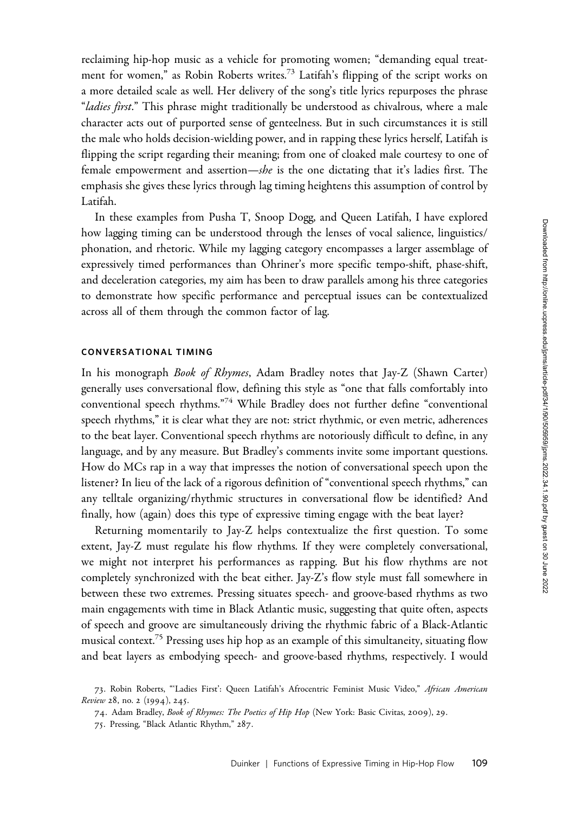reclaiming hip-hop music as a vehicle for promoting women; "demanding equal treatment for women," as Robin Roberts writes.<sup>73</sup> Latifah's flipping of the script works on a more detailed scale as well. Her delivery of the song's title lyrics repurposes the phrase "*ladies first.*" This phrase might traditionally be understood as chivalrous, where a male character acts out of purported sense of genteelness. But in such circumstances it is still the male who holds decision-wielding power, and in rapping these lyrics herself, Latifah is flipping the script regarding their meaning; from one of cloaked male courtesy to one of female empowerment and assertion—she is the one dictating that it's ladies first. The emphasis she gives these lyrics through lag timing heightens this assumption of control by Latifah.

In these examples from Pusha T, Snoop Dogg, and Queen Latifah, I have explored how lagging timing can be understood through the lenses of vocal salience, linguistics/ phonation, and rhetoric. While my lagging category encompasses a larger assemblage of expressively timed performances than Ohriner's more specific tempo-shift, phase-shift, and deceleration categories, my aim has been to draw parallels among his three categories to demonstrate how specific performance and perceptual issues can be contextualized across all of them through the common factor of lag.

## CONVERSATIONAL TIMING

In his monograph Book of Rhymes, Adam Bradley notes that Jay-Z (Shawn Carter) generally uses conversational flow, defining this style as "one that falls comfortably into conventional speech rhythms."<sup>74</sup> While Bradley does not further define "conventional speech rhythms," it is clear what they are not: strict rhythmic, or even metric, adherences to the beat layer. Conventional speech rhythms are notoriously difficult to define, in any language, and by any measure. But Bradley's comments invite some important questions. How do MCs rap in a way that impresses the notion of conversational speech upon the listener? In lieu of the lack of a rigorous definition of "conventional speech rhythms," can any telltale organizing/rhythmic structures in conversational flow be identified? And finally, how (again) does this type of expressive timing engage with the beat layer?

Returning momentarily to Jay-Z helps contextualize the first question. To some extent, Jay-Z must regulate his flow rhythms. If they were completely conversational, we might not interpret his performances as rapping. But his flow rhythms are not completely synchronized with the beat either. Jay-Z's flow style must fall somewhere in between these two extremes. Pressing situates speech- and groove-based rhythms as two main engagements with time in Black Atlantic music, suggesting that quite often, aspects of speech and groove are simultaneously driving the rhythmic fabric of a Black-Atlantic musical context.<sup>75</sup> Pressing uses hip hop as an example of this simultaneity, situating flow and beat layers as embodying speech- and groove-based rhythms, respectively. I would

<sup>73.</sup> Robin Roberts, "'Ladies First': Queen Latifah's Afrocentric Feminist Music Video," African American Review 28, no. 2 (1994), 245.

<sup>74.</sup> Adam Bradley, Book of Rhymes: The Poetics of Hip Hop (New York: Basic Civitas, 2009), 29.

<sup>75</sup>. Pressing, "Black Atlantic Rhythm," 287.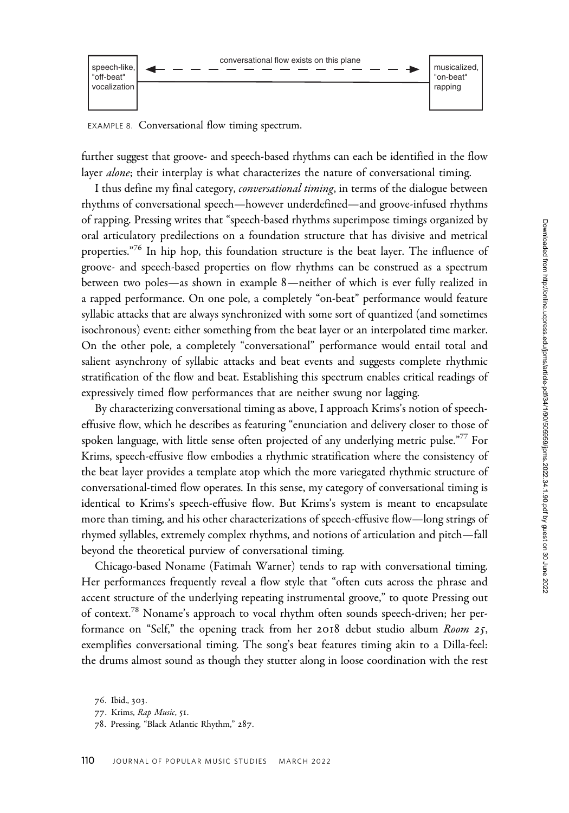

EXAMPLE 8. Conversational flow timing spectrum.

further suggest that groove- and speech-based rhythms can each be identified in the flow layer *alone*; their interplay is what characterizes the nature of conversational timing.

I thus define my final category, *conversational timing*, in terms of the dialogue between rhythms of conversational speech—however underdefined—and groove-infused rhythms of rapping. Pressing writes that "speech-based rhythms superimpose timings organized by oral articulatory predilections on a foundation structure that has divisive and metrical properties."<sup>76</sup> In hip hop, this foundation structure is the beat layer. The influence of groove- and speech-based properties on flow rhythms can be construed as a spectrum between two poles—as shown in example 8—neither of which is ever fully realized in a rapped performance. On one pole, a completely "on-beat" performance would feature syllabic attacks that are always synchronized with some sort of quantized (and sometimes isochronous) event: either something from the beat layer or an interpolated time marker. On the other pole, a completely "conversational" performance would entail total and salient asynchrony of syllabic attacks and beat events and suggests complete rhythmic stratification of the flow and beat. Establishing this spectrum enables critical readings of expressively timed flow performances that are neither swung nor lagging.

By characterizing conversational timing as above, I approach Krims's notion of speecheffusive flow, which he describes as featuring "enunciation and delivery closer to those of spoken language, with little sense often projected of any underlying metric pulse."<sup>77</sup> For Krims, speech-effusive flow embodies a rhythmic stratification where the consistency of the beat layer provides a template atop which the more variegated rhythmic structure of conversational-timed flow operates. In this sense, my category of conversational timing is identical to Krims's speech-effusive flow. But Krims's system is meant to encapsulate more than timing, and his other characterizations of speech-effusive flow—long strings of rhymed syllables, extremely complex rhythms, and notions of articulation and pitch—fall beyond the theoretical purview of conversational timing.

Chicago-based Noname (Fatimah Warner) tends to rap with conversational timing. Her performances frequently reveal a flow style that "often cuts across the phrase and accent structure of the underlying repeating instrumental groove," to quote Pressing out of context.<sup>78</sup> Noname's approach to vocal rhythm often sounds speech-driven; her performance on "Self," the opening track from her 2018 debut studio album Room 25, exemplifies conversational timing. The song's beat features timing akin to a Dilla-feel: the drums almost sound as though they stutter along in loose coordination with the rest

<sup>76</sup>. Ibid., 303.

<sup>77</sup>. Krims, Rap Music, 51.

<sup>78</sup>. Pressing, "Black Atlantic Rhythm," 287.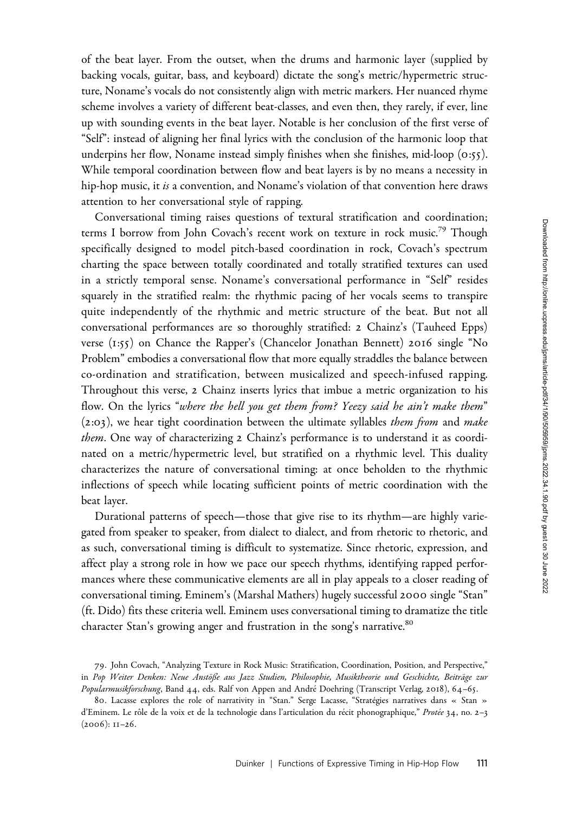of the beat layer. From the outset, when the drums and harmonic layer (supplied by backing vocals, guitar, bass, and keyboard) dictate the song's metric/hypermetric structure, Noname's vocals do not consistently align with metric markers. Her nuanced rhyme scheme involves a variety of different beat-classes, and even then, they rarely, if ever, line up with sounding events in the beat layer. Notable is her conclusion of the first verse of "Self": instead of aligning her final lyrics with the conclusion of the harmonic loop that underpins her flow, Noname instead simply finishes when she finishes, mid-loop (0:55). While temporal coordination between flow and beat layers is by no means a necessity in hip-hop music, it is a convention, and Noname's violation of that convention here draws attention to her conversational style of rapping.

Conversational timing raises questions of textural stratification and coordination; terms I borrow from John Covach's recent work on texture in rock music.<sup>79</sup> Though specifically designed to model pitch-based coordination in rock, Covach's spectrum charting the space between totally coordinated and totally stratified textures can used in a strictly temporal sense. Noname's conversational performance in "Self" resides squarely in the stratified realm: the rhythmic pacing of her vocals seems to transpire quite independently of the rhythmic and metric structure of the beat. But not all conversational performances are so thoroughly stratified: 2 Chainz's (Tauheed Epps) verse (1:55) on Chance the Rapper's (Chancelor Jonathan Bennett) 2016 single "No Problem" embodies a conversational flow that more equally straddles the balance between co-ordination and stratification, between musicalized and speech-infused rapping. Throughout this verse, 2 Chainz inserts lyrics that imbue a metric organization to his flow. On the lyrics "where the hell you get them from? Yeezy said he ain't make them"  $(2:03)$ , we hear tight coordination between the ultimate syllables *them from* and *make* them. One way of characterizing 2 Chainz's performance is to understand it as coordinated on a metric/hypermetric level, but stratified on a rhythmic level. This duality characterizes the nature of conversational timing: at once beholden to the rhythmic inflections of speech while locating sufficient points of metric coordination with the beat layer.

Durational patterns of speech—those that give rise to its rhythm—are highly variegated from speaker to speaker, from dialect to dialect, and from rhetoric to rhetoric, and as such, conversational timing is difficult to systematize. Since rhetoric, expression, and affect play a strong role in how we pace our speech rhythms, identifying rapped performances where these communicative elements are all in play appeals to a closer reading of conversational timing. Eminem's (Marshal Mathers) hugely successful 2000 single "Stan" (ft. Dido) fits these criteria well. Eminem uses conversational timing to dramatize the title character Stan's growing anger and frustration in the song's narrative.<sup>80</sup>

<sup>79</sup>. John Covach, "Analyzing Texture in Rock Music: Stratification, Coordination, Position, and Perspective," in Pop Weiter Denken: Neue Anstöße aus Jazz Studien, Philosophie, Musiktheorie und Geschichte, Beiträge zur Popularmusikforschung, Band 44, eds. Ralf von Appen and André Doehring (Transcript Verlag, 2018), 64-65.

<sup>80.</sup> Lacasse explores the role of narrativity in "Stan." Serge Lacasse, "Stratégies narratives dans « Stan » d'Eminem. Le rôle de la voix et de la technologie dans l'articulation du récit phonographique," Protée 34, no. 2–3 (2006): 11–26.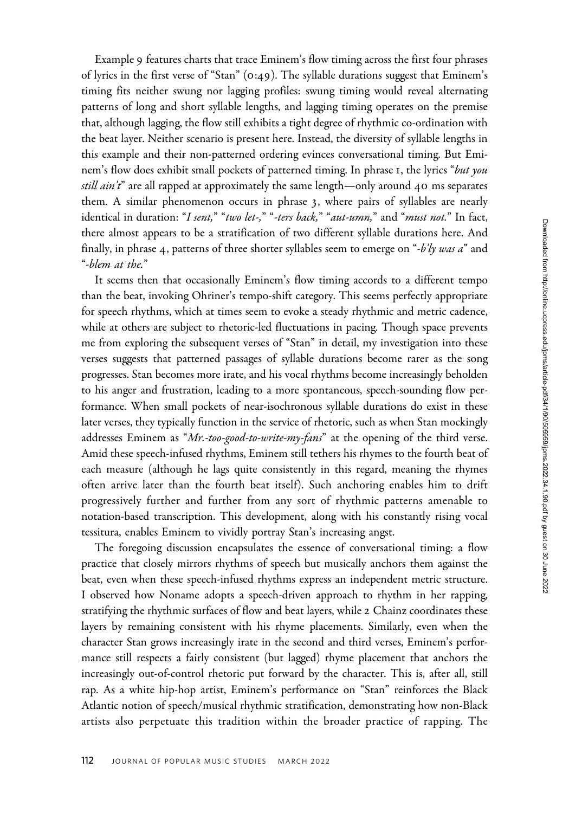Example 9 features charts that trace Eminem's flow timing across the first four phrases of lyrics in the first verse of "Stan" (0:49). The syllable durations suggest that Eminem's timing fits neither swung nor lagging profiles: swung timing would reveal alternating patterns of long and short syllable lengths, and lagging timing operates on the premise that, although lagging, the flow still exhibits a tight degree of rhythmic co-ordination with the beat layer. Neither scenario is present here. Instead, the diversity of syllable lengths in this example and their non-patterned ordering evinces conversational timing. But Eminem's flow does exhibit small pockets of patterned timing. In phrase 1, the lyrics "but you *still ain't*" are all rapped at approximately the same length—only around  $40$  ms separates them. A similar phenomenon occurs in phrase 3, where pairs of syllables are nearly identical in duration: "I sent," "two let-," "-ters back," "aut-umn," and "must not." In fact, there almost appears to be a stratification of two different syllable durations here. And finally, in phrase 4, patterns of three shorter syllables seem to emerge on "-b'ly was a" and "-blem at the."

It seems then that occasionally Eminem's flow timing accords to a different tempo than the beat, invoking Ohriner's tempo-shift category. This seems perfectly appropriate for speech rhythms, which at times seem to evoke a steady rhythmic and metric cadence, while at others are subject to rhetoric-led fluctuations in pacing. Though space prevents me from exploring the subsequent verses of "Stan" in detail, my investigation into these verses suggests that patterned passages of syllable durations become rarer as the song progresses. Stan becomes more irate, and his vocal rhythms become increasingly beholden to his anger and frustration, leading to a more spontaneous, speech-sounding flow performance. When small pockets of near-isochronous syllable durations do exist in these later verses, they typically function in the service of rhetoric, such as when Stan mockingly addresses Eminem as " $Mr. -too-good-to-write-my-fans$ " at the opening of the third verse. Amid these speech-infused rhythms, Eminem still tethers his rhymes to the fourth beat of each measure (although he lags quite consistently in this regard, meaning the rhymes often arrive later than the fourth beat itself). Such anchoring enables him to drift progressively further and further from any sort of rhythmic patterns amenable to notation-based transcription. This development, along with his constantly rising vocal tessitura, enables Eminem to vividly portray Stan's increasing angst.

The foregoing discussion encapsulates the essence of conversational timing: a flow practice that closely mirrors rhythms of speech but musically anchors them against the beat, even when these speech-infused rhythms express an independent metric structure. I observed how Noname adopts a speech-driven approach to rhythm in her rapping, stratifying the rhythmic surfaces of flow and beat layers, while 2 Chainz coordinates these layers by remaining consistent with his rhyme placements. Similarly, even when the character Stan grows increasingly irate in the second and third verses, Eminem's performance still respects a fairly consistent (but lagged) rhyme placement that anchors the increasingly out-of-control rhetoric put forward by the character. This is, after all, still rap. As a white hip-hop artist, Eminem's performance on "Stan" reinforces the Black Atlantic notion of speech/musical rhythmic stratification, demonstrating how non-Black artists also perpetuate this tradition within the broader practice of rapping. The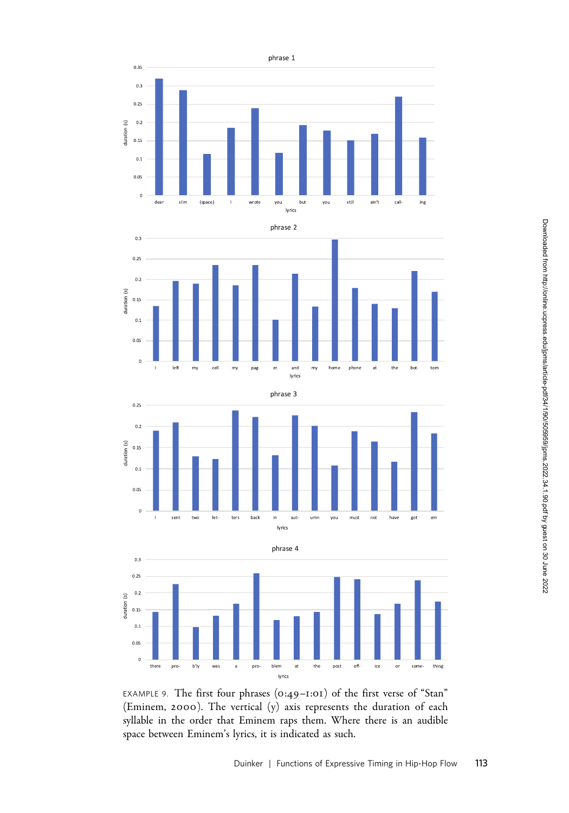







EXAMPLE 9. The first four phrases (0:49–1:01) of the first verse of "Stan" (Eminem, 2000). The vertical (y) axis represents the duration of each syllable in the order that Eminem raps them. Where there is an audible space between Eminem's lyrics, it is indicated as such.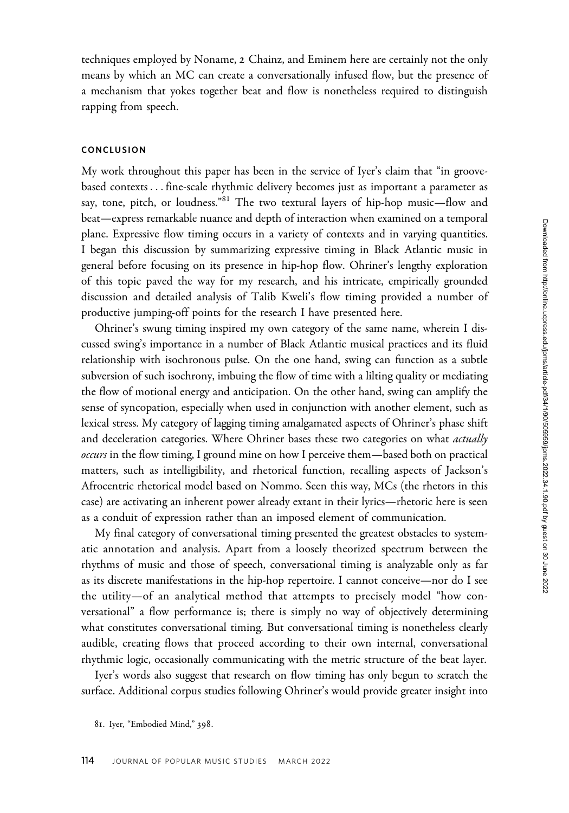techniques employed by Noname, 2 Chainz, and Eminem here are certainly not the only means by which an MC can create a conversationally infused flow, but the presence of a mechanism that yokes together beat and flow is nonetheless required to distinguish rapping from speech.

# **CONCLUSION**

My work throughout this paper has been in the service of Iyer's claim that "in groovebased contexts ... fine-scale rhythmic delivery becomes just as important a parameter as say, tone, pitch, or loudness."<sup>81</sup> The two textural layers of hip-hop music—flow and beat—express remarkable nuance and depth of interaction when examined on a temporal plane. Expressive flow timing occurs in a variety of contexts and in varying quantities. I began this discussion by summarizing expressive timing in Black Atlantic music in general before focusing on its presence in hip-hop flow. Ohriner's lengthy exploration of this topic paved the way for my research, and his intricate, empirically grounded discussion and detailed analysis of Talib Kweli's flow timing provided a number of productive jumping-off points for the research I have presented here.

Ohriner's swung timing inspired my own category of the same name, wherein I discussed swing's importance in a number of Black Atlantic musical practices and its fluid relationship with isochronous pulse. On the one hand, swing can function as a subtle subversion of such isochrony, imbuing the flow of time with a lilting quality or mediating the flow of motional energy and anticipation. On the other hand, swing can amplify the sense of syncopation, especially when used in conjunction with another element, such as lexical stress. My category of lagging timing amalgamated aspects of Ohriner's phase shift and deceleration categories. Where Ohriner bases these two categories on what *actually* occurs in the flow timing, I ground mine on how I perceive them—based both on practical matters, such as intelligibility, and rhetorical function, recalling aspects of Jackson's Afrocentric rhetorical model based on Nommo. Seen this way, MCs (the rhetors in this case) are activating an inherent power already extant in their lyrics—rhetoric here is seen as a conduit of expression rather than an imposed element of communication.

My final category of conversational timing presented the greatest obstacles to systematic annotation and analysis. Apart from a loosely theorized spectrum between the rhythms of music and those of speech, conversational timing is analyzable only as far as its discrete manifestations in the hip-hop repertoire. I cannot conceive—nor do I see the utility—of an analytical method that attempts to precisely model "how conversational" a flow performance is; there is simply no way of objectively determining what constitutes conversational timing. But conversational timing is nonetheless clearly audible, creating flows that proceed according to their own internal, conversational rhythmic logic, occasionally communicating with the metric structure of the beat layer.

Iyer's words also suggest that research on flow timing has only begun to scratch the surface. Additional corpus studies following Ohriner's would provide greater insight into

<sup>81</sup>. Iyer, "Embodied Mind," 398.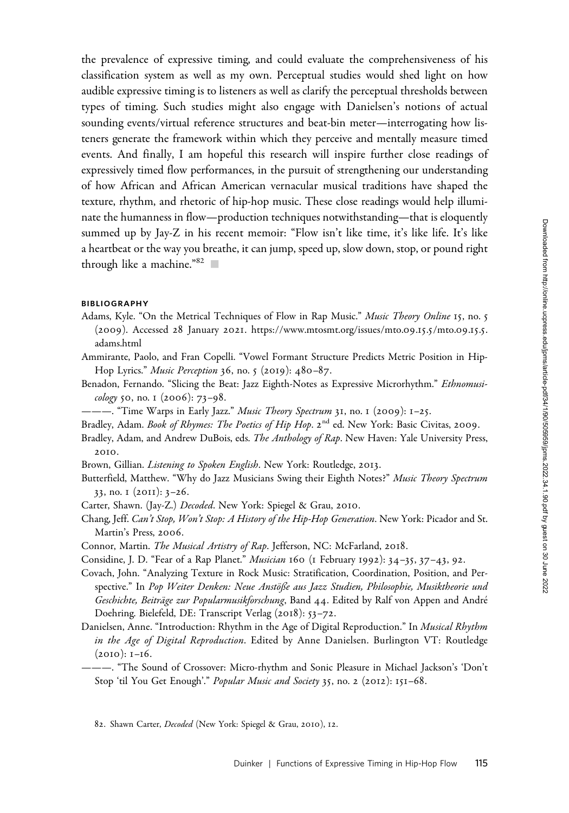the prevalence of expressive timing, and could evaluate the comprehensiveness of his classification system as well as my own. Perceptual studies would shed light on how audible expressive timing is to listeners as well as clarify the perceptual thresholds between types of timing. Such studies might also engage with Danielsen's notions of actual sounding events/virtual reference structures and beat-bin meter—interrogating how listeners generate the framework within which they perceive and mentally measure timed events. And finally, I am hopeful this research will inspire further close readings of expressively timed flow performances, in the pursuit of strengthening our understanding of how African and African American vernacular musical traditions have shaped the texture, rhythm, and rhetoric of hip-hop music. These close readings would help illuminate the humanness in flow—production techniques notwithstanding—that is eloquently summed up by Jay-Z in his recent memoir: "Flow isn't like time, it's like life. It's like a heartbeat or the way you breathe, it can jump, speed up, slow down, stop, or pound right through like a machine." $82$   $\Box$ 

## BIBLIOGRAPHY

- Adams, Kyle. "On the Metrical Techniques of Flow in Rap Music." Music Theory Online 15, no. 5 (2009). Accessed 28 January 2021. [https://www.mtosmt.org/issues/mto.](https://www.mtosmt.org/issues/mto.09.15.5/mto.09.15.5.adams.html)09.15.5/mto.09.15.5. [adams.html](https://www.mtosmt.org/issues/mto.09.15.5/mto.09.15.5.adams.html)
- Ammirante, Paolo, and Fran Copelli. "Vowel Formant Structure Predicts Metric Position in Hip-Hop Lyrics." Music Perception 36, no. 5 (2019): 480-87.
- Benadon, Fernando. "Slicing the Beat: Jazz Eighth-Notes as Expressive Microrhythm." Ethnomusicology 50, no. 1 (2006): 73–98.
- ———. "Time Warps in Early Jazz." *Music Theory Spectrum* 31, no. 1 (2009): 1–25.
- Bradley, Adam. Book of Rhymes: The Poetics of Hip Hop. 2<sup>nd</sup> ed. New York: Basic Civitas, 2009.
- Bradley, Adam, and Andrew DuBois, eds. The Anthology of Rap. New Haven: Yale University Press, 2010.
- Brown, Gillian. Listening to Spoken English. New York: Routledge, 2013.
- Butterfield, Matthew. "Why do Jazz Musicians Swing their Eighth Notes?" Music Theory Spectrum 33, no. 1 (2011): 3–26.
- Carter, Shawn. (Jay-Z.) Decoded. New York: Spiegel & Grau, 2010.
- Chang, Jeff. Can't Stop, Won't Stop: A History of the Hip-Hop Generation. New York: Picador and St. Martin's Press, 2006.
- Connor, Martin. The Musical Artistry of Rap. Jefferson, NC: McFarland, 2018.
- Considine, J. D. "Fear of a Rap Planet." Musician 160 (1 February 1992): 34–35, 37–43, 92.
- Covach, John. "Analyzing Texture in Rock Music: Stratification, Coordination, Position, and Perspective." In Pop Weiter Denken: Neue Anstöße aus Jazz Studien, Philosophie, Musiktheorie und Geschichte, Beiträge zur Popularmusikforschung, Band 44. Edited by Ralf von Appen and André Doehring. Bielefeld, DE: Transcript Verlag (2018): 53–72.
- Danielsen, Anne. "Introduction: Rhythm in the Age of Digital Reproduction." In Musical Rhythm in the Age of Digital Reproduction. Edited by Anne Danielsen. Burlington VT: Routledge (2010): 1–16.
- ———. "The Sound of Crossover: Micro-rhythm and Sonic Pleasure in Michael Jackson's 'Don't Stop 'til You Get Enough'." Popular Music and Society 35, no. 2 (2012): 151-68.

82. Shawn Carter, Decoded (New York: Spiegel & Grau, 2010), 12.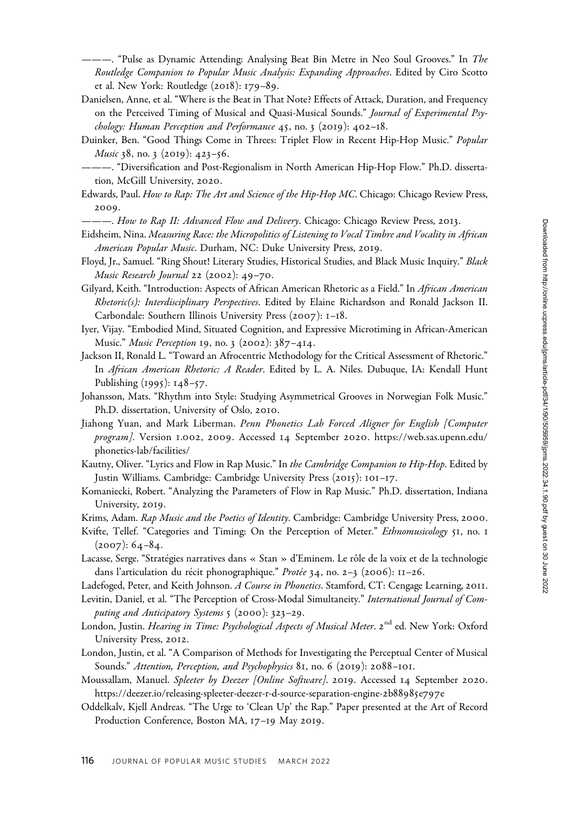–. "Pulse as Dynamic Attending: Analysing Beat Bin Metre in Neo Soul Grooves." In The Routledge Companion to Popular Music Analysis: Expanding Approaches. Edited by Ciro Scotto et al. New York: Routledge (2018): 179–89.

- Danielsen, Anne, et al. "Where is the Beat in That Note? Effects of Attack, Duration, and Frequency on the Perceived Timing of Musical and Quasi-Musical Sounds." Journal of Experimental Psychology: Human Perception and Performance  $45$ , no. 3 (2019):  $402-18$ .
- Duinker, Ben. "Good Things Come in Threes: Triplet Flow in Recent Hip-Hop Music." Popular Music 38, no. 3 (2019): 423-56.
- ———. "Diversification and Post-Regionalism in North American Hip-Hop Flow." Ph.D. dissertation, McGill University, 2020.
- Edwards, Paul. How to Rap: The Art and Science of the Hip-Hop MC. Chicago: Chicago Review Press, 2009.
- ———. How to Rap II: Advanced Flow and Delivery. Chicago: Chicago Review Press, 2013.
- Eidsheim, Nina. Measuring Race: the Micropolitics of Listening to Vocal Timbre and Vocality in African American Popular Music. Durham, NC: Duke University Press, 2019.
- Floyd, Jr., Samuel. "Ring Shout! Literary Studies, Historical Studies, and Black Music Inquiry." Black Music Research Journal 22 (2002): 49–70.
- Gilyard, Keith. "Introduction: Aspects of African American Rhetoric as a Field." In African American Rhetoric(s): Interdisciplinary Perspectives. Edited by Elaine Richardson and Ronald Jackson II. Carbondale: Southern Illinois University Press (2007): 1–18.
- Iyer, Vijay. "Embodied Mind, Situated Cognition, and Expressive Microtiming in African-American Music." Music Perception 19, no. 3 (2002): 387–414.
- Jackson II, Ronald L. "Toward an Afrocentric Methodology for the Critical Assessment of Rhetoric." In African American Rhetoric: A Reader. Edited by L. A. Niles. Dubuque, IA: Kendall Hunt Publishing (1995): 148–57.
- Johansson, Mats. "Rhythm into Style: Studying Asymmetrical Grooves in Norwegian Folk Music." Ph.D. dissertation, University of Oslo, 2010.
- Jiahong Yuan, and Mark Liberman. Penn Phonetics Lab Forced Aligner for English [Computer program]. Version 1.002, 2009. Accessed 14 September 2020. [https://web.sas.upenn.edu/](https://web.sas.upenn.edu/phonetics-lab/facilities/) [phonetics-lab/facilities/](https://web.sas.upenn.edu/phonetics-lab/facilities/)
- Kautny, Oliver. "Lyrics and Flow in Rap Music." In the Cambridge Companion to Hip-Hop. Edited by Justin Williams. Cambridge: Cambridge University Press (2015): 101–17.
- Komaniecki, Robert. "Analyzing the Parameters of Flow in Rap Music." Ph.D. dissertation, Indiana University, 2019.
- Krims, Adam. Rap Music and the Poetics of Identity. Cambridge: Cambridge University Press, 2000.
- Kvifte, Tellef. "Categories and Timing: On the Perception of Meter." Ethnomusicology 51, no. 1  $(2007): 64-84.$
- Lacasse, Serge. "Stratégies narratives dans « Stan » d'Eminem. Le rôle de la voix et de la technologie dans l'articulation du récit phonographique." Protée 34, no. 2-3 (2006): 11-26.
- Ladefoged, Peter, and Keith Johnson. A Course in Phonetics. Stamford, CT: Cengage Learning, 2011.
- Levitin, Daniel, et al. "The Perception of Cross-Modal Simultaneity." International Journal of Computing and Anticipatory Systems 5 (2000): 323–29.
- London, Justin. *Hearing in Time: Psychological Aspects of Musical Meter*. 2<sup>nd</sup> ed. New York: Oxford University Press, 2012.
- London, Justin, et al. "A Comparison of Methods for Investigating the Perceptual Center of Musical Sounds." Attention, Perception, and Psychophysics 81, no. 6 (2019): 2088-101.
- Moussallam, Manuel. Spleeter by Deezer [Online Software]. 2019. Accessed 14 September 2020. [https://deezer.io/releasing-spleeter-deezer-r-d-source-separation-engine-](https://deezer.io/releasing-spleeter-deezer-r-d-source-separation-engine-2b88985e797e)2b88985e797e
- Oddelkalv, Kjell Andreas. "The Urge to 'Clean Up' the Rap." Paper presented at the Art of Record Production Conference, Boston MA, 17–19 May 2019.